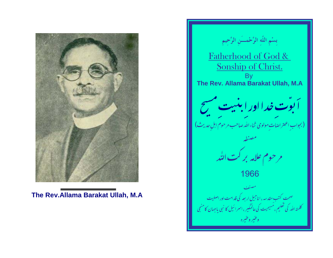

The Rev. Allama Barakat Ullah, M.A

بِسْمِ اللَّهِ الرَّحْمـــُنِ الرَّحِيمِ Fatherhood of God & Sonship of Christ. **Bv** The Rev. Allama Barakat Ullah, M.A -<br>- **البوت خدا اور البنبيت مسيح**<br>- ابجواب اعتراضات مولوى ثناءالله صاحب مرحوم ابل حديث) مرحوم علامہ بر کت اللہ<br>مرحوم علامہ بر کت اللہ 1966 صحت کتب مقدسہ ،اناجیل ار بعہ کی قدامت اور اصلیت<br>کلمتہ اللہ کی تعلیم ، مسیحیت کی عالمگیر ، اسرائیل کا نبی یاجہان کامنجی وعنير وعنيره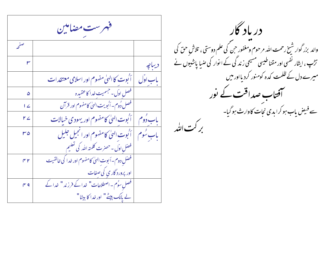فهرست مضامين صفح ديباجه | آنوت کا الهیٰ مفهوم اور اسلامی معتقدات باب اوّل فصل اوّل-حبسميت خدا كاعقيده ۵ فصل دُوم-اَ ُبویت الهیٰ کامفهوم اور قرآن  $\overline{1}$ باب دُوم ﴿ أَنُوتِ الهِيٰ كامفهومِ اور يهودِ ي خيالاتِ  $r<sub>L</sub>$ باب سُوم | أُبُوت الهيٰ كامفهوم اور انجيل جليل  $r \circ$ فصّل اوّل - حصرت كلمته الله كي تعليم فصّل دوم – اَبوت الهيٰ كامفهوم اور خدا كي خالقيت  $\gamma$ اور پرورد گار ی کی صفات فصل سوُم - اصطلاحات" خدا کے فرزند " خدا کے  $f'$  q لے مالک پیٹے" اور خدا کا بیٹا"

دریاد گار ۔<br>والد بزر گوار شیخ رحمت اللہ مرحوم ومغفور حن کی علم دوستی ، تلاش حق کی تڑپ ، ایثار نفسی اور مقناطیسی مسیحی زند گی کے ا نوار کی ضبا پاشیوں نے میرے دل کے ظلمت کدہ کومنور کردیااور میں حویاب صداقت کے نور سے فیض باب ہو کرا یدی نجات کاوارث ہو گیا۔ بركت التُد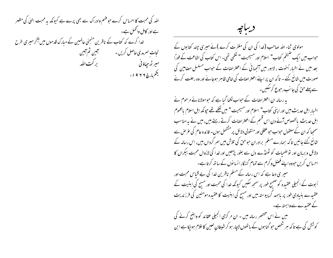اللہ کی محبت کا احساس کرے حبو فہم وادراک سے بھی پرے ہے کیونکہ یہ محبت العلٰ کی مظہر ہے اور کامل واٹھمل ہے۔ خدا کرے کہ کتاب کے ناظرین منجئی عالمین کے مبارک قدموں میں آکر میری طرح میر ٹھ ج<sub>ت</sub>اؤنی مسلمان کر کت اللہ يځممارچ۲۲۹۱۰

ديباجه

مولوی ثناء اللہ صاحب (خدا کی ان کی مغفرت کرے )نے میری چند کتابوں کے حبواب میں ایک صیخم کتاب" اسلام اور مسیحیت" لکھی تھی۔ اس کتاب کی اشاعت کے فوراً بعد میں نے اخبار اُخوت ، لاہور میں آنھہا نی کے اعتراضات کے حواب مسلسل مصامین کی صورت میں شائع کئے ۔ تا کہ ان پر اپنے اعتراضات کی خامی ظاہر ہوجائے اور وہ رحلت کرنے سے پہلے حق کی جانب رحوع کرسکیں۔ بہ رسالہ ان اعتراضات کے حواب لکھا گیا ہے کہ حو مولانائے مرحوم نے اخبار ابل حديث ميں اور اپني كتاب" اسلام اور مسیحیت" میں <u>لکھے تھ</u>ے حپونكہ اہل اسلام بالعموم ابل حدیث پالخصوص آئے دن اس قسم کے اعتراضات کرتے رہتے ہیں، میں نے یہ مناسب سمحھا کہ ان کے معقول حبواب حبو عقلی اور منقولی دلائل پر مشتمل ہوں۔ فائدہ عام کی عرص سے شائع کئے جائیں تاکہ ہمارے مسلم برادران حوحق کی تلاش میں سر گرداں بیں، اس رسالہ کے دلائل و بربان اور نو ضحیات کو ٹھنڈے دل سے بغور پڑھیں اور غدا کی لازوال محبت بیکراں کا احساس کریں حبووہ اپنے فصل و کرم سے تمام گنہگار انسانوں کے ساتھ کرتا ہے۔ میر ی دعا ہے کہ اس رسالہ کے مسلم ناظرین خدا کی بے قباس محبت اور اَبوت کے انجیلی عقیدہ کو صحیح طور پر سمجھ سکیں کیونکہ خدا کی محبت اور مسح کی ابنیت کے عقیدے بنیادی طور پر باہمد گر پیوستہ بیں اور مسج کی ابنیت کا عقیدہ مومنین کی فرزندیت کے عقیدے سے وابستہ ہے۔ میں نے اس مختصر رسالہ میں ۔ ان مر کزی انجیلی عقائد کو واضح کرنے کی

کوشش کی ہے تا کہ ہر شخص حبو گناہوں کے باتھوں لاچار ہو کر شیطان لعین کا علام ہوجکا ہے ا بن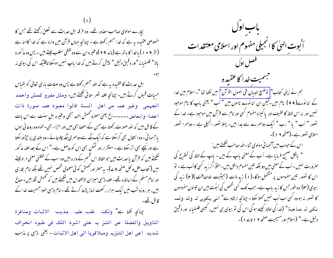بجارے مولوی صاحب معذور تھے۔ وہ فرقہ اہل حدیث سے تعلق رکھتے تھے جس کا خصوصی عقیدہ ہیرہے کہ خدا جسم رکھتا ہے - چنانچہ حہاں قرآن میں وارد ہے کہ خدا کامنہ ہے (بقر ۹ • ۱ ) با خدا کا با تھ ہے (مائد ۹۹ )وعنیرہ ان سے وہ لفظی مطلب لیتے بیں ۔ پس وہ مذ کورہ بالا" فلسفبانه "اور دقیق دلیل " پیش کرتے بیں کہ خدا باپ نہیں ہوسکتا تاقتیکہ اس کی بیوی نہ

اہلِ حدیث کا عقیدہ یہ ہے کہ اللہ جسم رکھتا ہے پس وہ صفات باری تعالیٰ کو بقیاس حسات قبول كرتے ہيں۔ چنانچہ علام شہر ستانی کھتے ہيں۔ ومثل مفرو كممش واحمد الجهمى وغير همه من اهل السنة قالوا معبود همه صورة ذات اعضاء وابعاض ------الخ یعنی مصرومحمش احمد ہجمی وعنیرہ اہل سنت سے اس بات کے قائل بیں کہ اللہ صورت رکھتا ہے جس کے اعصا بھی بیں اور احزاء بھی۔حواہ وہ روحا فی ہوں یا حسما فی - وہ انتقال بھی کرسکتا ہے کہ ایک جگہ سے دوسمری جگہ چلاجائے - وہ بلندی پر حِبڑھ سکتا ہے اور نیچے بھی اتر سکتا ہے ۔ استقرار اور تمکن بھی اس کو حاصل ہے۔" اس کے بعد علامہ مذکور لکھتے بیں کہ قرآن یا حدیث میں حوالفاظ اس قسم کے وار دبیں وہ سب کے لفظنی معنی مرادلیتے بییں ( کتاب ملل ونحل صفحہ ۸ ۷)۔ بہ مصرّ اور حممش کو ئی معمولی شخص نہیں تھے بلکہ امام بخاری اور امام مسلم کے اساتذہ تھے۔ علامہ ذہبی میزان الاعتدال میں لکھتے بیں کہ تحمش ثقہ بیں۔صالح بیں، ہر روزوشب میں ایک ہزار رکعت نماز پڑھا کرتے تھے۔امام ذہبی خود جسمیت خدا کے قائل تھے۔

چانچ لکھا ہے" ولکنہ غلب علیہ مذہب الاثبات ومنافرة التاويل والفضلة عن التنز يه حتى اشرذ اللك في طبوه انحراف شديد اعن اهل التنزيه وميلاقويا الى اهل الاثبات - يُعنى زَبِي پر مُزَبِب



نہیں اور نہ اس لفظہ کا لطبیف اور یا کمیزہ مفہوم کسی اور نام سے قرآن میں موجود ہے۔ خدا کے تصور " اَب " یا " رب " ایک دوسمرے سے جدا بیں۔ پہلا تصور انجیلی ہے ۔ دوسمرا تصور اسلامی نصور ہے۔(صفحہ ۲ ۱ )۔

اس کے حواب میں آنجہا فی مولوی ثناء اللہ صاحب لکھتے ہیں :

" بالکل صحیح فرمایا ہے۔ اَب کے معنی باپ کے ہیں - باپ کے لفظ کی تسریح کی صرورت نہیں ۔اَب کے معنی میں دو بلکہ تین مفهوم داخل ہیں۔مثلاً اگر زید کسی کااَب ہے ۔ تو اس کا تصور تین مفهوموں پر مشتمل ہوگا۔(۱) زید ذات (بحیثیت ذواحنافت)(۲) زید کی بیوی (۲) وہ طور جس کار ید باپ ہے۔ جب تک کسی شخص کی اَبوُت میں ان تیسوں مفہوموں کا تصور نہ ہووہ کسی اب اَب نہیں کہلاسکتا - چنانچہ ارشاد ہے" ا نبی پیکو ہی لہ ولد ولمہ نک<sub>ٹ</sub> لہ صاحبۃ " (<del>ن</del>دا کی اولاد کیسے ہوگی اس کی تو بیوی ہی نہیں، کیسی فلسفیانہ اور دقیق دلیل ہے۔" (اسلام اور مسیحیت صفحہ ۲ ۱ تا ۲ ا)۔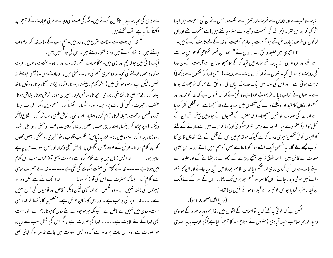سے ذیل کی عبارت ہدیہ ناظرین کرتے ہیں۔جگہ کی قلت کی وجہ سے عربی عبارت کے ترجمہ پر ا کتفا کیا گیا ہے۔ آپ لکھتے ہیں۔ " خدا کی بہت سے صفات سٹرع میں وارد بیں۔ ہم سب کے ساتھ خدا کو موصو**ف** جانتے بیں ، نہ الکار کرتے ہیں اور نہ تشبیہ دیتے ہیں۔اس کی دو قسمیں ہیں۔ ا یک ذا تی بیں حوقد یم اور ازلی بیں۔مثلاً حیات، غم، قدرت اور ارادہ - مشیت ، جلال، عزت سننا، دیکھنا، بولنے کی قوت، دوسری قسم کی صفات فعلی بیں ، حوحادث بیں۔ ( یعنی حوپہلے نہ تھیں، لیکن اب موحود ہو گئی بیں ) مثلاً کلام ، بیٹھنا ، بنسنا ، اترنا، حیڑھنا ، آنا ، جانا ، دو نوں پاتھ بلند کرنا ، قدم پچیر نا، نزدیکی ، دوری ، بچیانا ، سانس لینا ، حبیران ہونا، حوش ہونا ، بشاش ہونا، عضب ، عنیرت ، کسی کی بات پر رنجیده ہونا، سٹرمانا ، ٹھٹھا کرنا- مسخره پن ، مکر ، فریب دینا، تردد، فصل، رحمت ، حبله کرنا ، آرام کرنا ، اختیار ،امر ، نهی ، حوش طبعی ، مصافحه کرنا ، اطلاع (آکر دیکھنا )او پر حپڑھ کر دیکھنا، استدراج ، حب، بغض، رصا، کراہیت، عضیہ، دشمنی ، دوستی ، ٹہلنا ، دوڑنا ، پیدا کرنا ، وحود میں لانا- عند بہ (پاس) تقلیب قلوب ، خوشخبری ، دھمکی ، بعض مخلوق کو اپنا کلام سنانا -عرش کے علاوہ بعض جگہوں پر عارضی تحلی دکھانا اور حس صورت میں چاہے ظاہر ہونا ----- خدا حس زبان میں چاہے کلام کرتا ہے ، صوت یعنی آواز حرف سب اس کلام میں ہوتا ہے ۔۔۔۔۔خدا کے کلام کی صفت سکوت کی نفی ہے۔۔۔۔۔۔ خدا نے حصرت موسیٰ سے کلام کیا۔ ایسا کہ حصرت نے اس کی آواز کو سننا۔ ۔۔۔۔۔خدا ایک سٹے ہے لیکن وہ اور چیزوں کی ما نند نہیں ہے۔ وہ شخص ہے اور آدمی لیکن دیگر اشخاص اور آدمیوں کی طرح نہیں ہے۔ ۔۔۔خدا اوپر کی جانب ہے ۔ اور اس کا مکان عرش ہے۔ متکلمین کا ہہ کھنا کہ خدا کسی جہت ومکان میں نہیں ہے ماطل ہے۔ کیونکہ ہرموحود کے لئے مکان کا ہونالازم ہے۔اور جہت بھی خدا کے لئے ثابت ہے۔۔۔۔۔ خدا کی صورت ہے ، مگر اس کی شکل سب سے زیادہ خوبصورت ہے، وہ اس مات پر قادر ہے کہ وہ جس صورت میں جاہے ظاہر ہو کر اپنی تحلی

اثبات غالب ہے اور تاویل سے نفرت اور تنزیہ سے عفلت ، حس نے ان کی طبعیت میں ایسا اثر کیا کہ وہ اہل تنزیہ (حواللہ کی حبہمیت وعنیرہ سے منزہ جانتے ہیں )سے منحرف تھے اور ان لوگوں کی طرف زیادہ مائل تھے جو جسمیت پالوازم جسمیت کوخدا کے لئے ثابت کرتے ہیں۔" ا ٢٣ انبجري ميں خليفہ واثق بالله بارون نے " احمد بن نصر انخزاعي كو حبوابل حديث سے تھے اور امر و نواہی کے پا بند تھے بغداد میں قبید کرکے بلا بھیجا اوران سے قبامت کےدن خدا کی رویت کا سوال کیا۔انہوں نےکہا کہ روایت سے رویت ( یعنی غدا کوآنکھوں سے دیکھنا) ثابت ہو تی ہے۔ اور اس کی سند میں ایک حدیث بیان کی ، واثن نے <sub>ک</sub>ھا کہ تو جھوٹ بولتا ہے۔انہوں نے حواب دیا کہ توجھوٹ بولتا ہے، واثنی نے کہا کہ افسوس ہے کہ خدا کو محدود اور مجسم اور مکان کامقید اور دیکھنے والے کی آنکھوں میں سما جانے والا سمجھتاہے۔ تو قطعی کفر کرریا ہے اور خدا کی صفات کو نہیں سمجھتا۔ فرقہ معتزلہ کے فقہیوں نے حبووبیں بیٹھے تھے ان کے تشل کا فوراً صحم دے دیا۔ خلیفہ نے وہیں تلوار منگوا ئی اور کہا کہ جب میں اسے مارنے کے لئے کھڑاہوں کو ئی شخص میری مدد نہ کرے کیونکہ حوقدم میں اس کے قتل کے لئے اٹھاؤں گا ان کا ثواب مجھے ملے گا۔ یہ شخص ایک ایسے خدا کو ما نتا ہے جس کو ہم نہیں مانتے اور نہ اس جیسی صفات کے قائل ہیں ۔احمد طوق زنجیر بیٹیجے چرڑے کے بچھونے پر بٹھائے گئے اور خلیفہ نے اپنے باتھ سے ان کی گردن ماری اور ضمم دیا کہ ان کا سمر بغداد میں بھیج دیا جائے اور ان کا جسم رائے میں سولی دید یا جائے - ان کا سمر اور جسم جیے برس تک لٹکاربا- ان کے سمر کے لئے ایک حپو کیدار مقرر کردیاحواس کو نیزہ سے قبلہ روہوتے نہیں دیتا تھا۔" ( تاريخ الخلفا صفحه ٢ ٢ ٢ ) – ممکن ہے کہ کوئی یہ بھے کہ یہ تواسلاف کے اقوال بیں لہذا ہم دورِ حاصر ہ کے مولوی وحید الدین صاحب حیدر آبادی (جنهوں نے صحاح ستہ کا ترجمہ کیا ہے) کی کتاب بدیہ الہیدی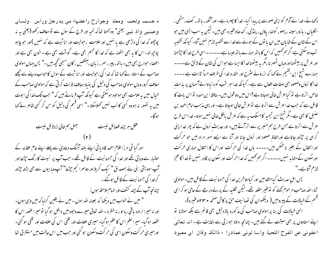ه جسمہ ولحمہ ومعلہ وجوارح راعضہاء من يدرجل وراس ولسان وعینبین وا ذ نبین یعنی" وہ کھتا تھا کہ لحیہ اور فرج کے سول سے نومعاف رکھو (یعنی پہ نہ پوچھ لو۔ اس کا یہ بھی مقولہ ہے کہ خدا کا جسم بھی ہے۔ گوشت بھی ہے ۔ خون بھی ہے اور اعضاء حوارح بھی ہیں۔ ہاتھ، پیر ، سر ، زبان ، آنکھیں ، کان سبھی کحچھ ہیں ۔" پس جہاں مولوی صاحب کے استاد نے کہا تھا کہ خدا کی رحولیت اور انا ثبت کے سوال کا حواب دینے سے مجھے معاف کرو، وہاں مولوی صاحب کی دلیل کی بنیاد صاف ثابت کرتی ہے کہ مولوی صاحب کے خیال میں بہ علامت بھی موجود ہوسکتی ہے کیونکہ آپ فرماتے ہیں کہ " حب تک خدا کی ابوت میں بہ تصور نہ ہووہ کسی کا اَب نہیں کھلاسکتا -" اسی قسم کی دلیل کو سن کر کسی شاعر نے کھا ہو گا۔

> جهل ہم خالی ازدلائل نیست عقل مهر چند فضائل نیست

سور گیاشی مرزا علام احمد قادیا فی اپنے بلند آہنگ دعاویٰ سے پہلے اپنے عام عقائد کے اعتبار سے وبا بی تھے اور خدا کی حبیما نبیت کے قائل تھے ۔ حب آپ پر نبوت کا رنگ حیڑھا اور آپ سودیشی بنی ہنے بمصداق " ایک کریلااور دوسرا نیم جڑھا" آپ وہابیوں سے بھی بڑھ جڑھ کر خدا کی حسما نیت کے قائل ہوگئے۔ چنانچہ آپ کے چند کشف اور الہام ملاحظہ ہوں : " میں نے خواب میں دیکھا کہ بعینہ اللہ ہوں - میں نے یقین کرلیا کہ میں وہی ہوں-اور نہ میرا ارادہ باقی رہا اور نہ خطرہ – اللہ تعالیٰ میرے وحود میں داخل ہو گیا تو میرا عصہ اس کا عضہ ہوگیا۔ میرا حلم اس کا حلم ہوگیا۔ میری حلاوت اور تلخی اس کی حلاوت اور تلخی ہو گئی۔ اورمیری حرکت وسکون اسی کی حرکت وسکون ہو گئی اور حب میں اس حالت میں مستغرق تھا

دکھائے۔خدا نے آدم کو اپنی صورت پر پیدا کیا۔ خدا کا چہرہ ہے۔اور آنکھ ، باتھ، کف، مٹھی ، الگلیاں ، بازو ،سینہ ، پہلو، کولھا، یاؤں ، پنڈلی، کندھاوعنیرہ بھی ہیں۔لیکن یہ سب ایسی ہیں حو اس کے شان کے شاپان بیں ان یا توں کے ہونے سے خداسے تشبیہ لازم نہیں آتا۔ کیونکہ تشبیہ تب ہوسکتی ہے اگرہم تھمیں کہ اس کا باتھ ہمارے باتھ جیسا ہے۔۔۔۔۔۔ اسی طرح خدا کا جیڑھنا اور عرش پر بیٹھنااور وباں ٹھہر نا،مگر یہ بیٹھناخدا کاایسا ہے حواس کی شان کے لائق ہے۔۔۔۔ ہمارے شیخ ابن القیم نے کہا کہ ازروئے سثرح اور اشارہ خدا کی طرف حساً ثابت ہے ۔۔۔۔ خدا کا نزول وصعود بھی صفات افعال سے ہے۔ کیونکہ خدا ہر شب کو د نیا والے آسمان پر یذات خاص اترتا ہے نو کیا عرش خالی ہوجاتا ہے؟اس میں دو قول بیں۔حافظ ابن مندہ تواس بات کا قائل ہے کہ جب خدا عرش سے اترتا ہے نوعرش خالی ہوجاتا ہے۔ اور یہی مذہب امام احمد بن حنسل کا بھی ہے۔مگر شیخ ابن تیمیہ کامسلک یہ ہے کہ عرش بالکل خالی نہیں ہوتا۔خدااس طرح عرش سے اترتا ہے جس طرح ہم منسر پر سے اترا ٓتے ہیں۔اور حدیث نرول ہے کہ پھر خداا پنی کرسی پر جڑھ جاتاہے اورالفاظ صعود اور نزول جانا اور آنا سے ایسے امور مراد بیں حبو حرکت اورا نتقال کے بغیر نا ممکن بین۔۔۔۔۔ ہاں خدا کی حرکت اوراس کا انتقال ہماری حرکت اورسکون کے مشابہ نہیں۔۔۔۔۔ اگر ہم ٹھمیں کہ خدا حر کت اور سکون پر قادر نہیں تو خدا کا عمز لازم آتاہے۔"

پس اہل حدیث کیامتقدمین اور کبامتاخرین خدا کی حسمانیت کے قائل ہیں۔مولوی ثناء اللہ صاحب مرحوم کھنے کو توعنیر مقلد تھے۔ لیکن تقلید کے پر لے درجے کے حامی ہوکر اسی قسم کے خیالات کے پیروبیں ( دیکھوان کی تصانیف حن پرکاش صفحہ • ٢٣ وعنیرہ)۔ انہی خیالات کی بنا پر مولوی صاحب کی مذ کورہ بالا دلیل بھی قائم ہے بلکہ مولانا تو اپنے استادوں پر بھی سبقت لے گئے ہیں۔ چنانچہ داؤد حوار بی سے حکایت ہے ۔ ا نہ تعالمیٰ اعفوني عن الفرج اللحية واسا لوني عمادرا ء ذالكه وقال ان معبود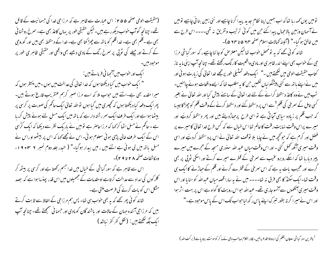(حقیقت الوحی صفحہ ۵۵ ۴ : اس عمارت سے ظاہر ہے کہ مرزاحی خدا کی حسمانیت کے قائل تھے۔ چنانچہ گوآپ حواب دیکھ رہے ہیں۔ لیکن حقیقی طور پر یہاں کاعذ بھی ہے۔ سمرخ روشنا ئی بھی ہے ۔قلم بھی ہے۔ خدا قلم کو باتھ سے چھڑ کتا بھی ہے۔ خدا کے دستنط بھی بیں اور گوروحی کے کرتے اور چیلے کی ٹوپی پر سمرخ رنگ کے مادی دھبے بھی واقعی اور حقیقی ظاہر ی طور پر موحوديل

ا یک اور خواب میں آنجہا ٹی فرماتے بیں : " ایک خواب میں کیا دیکھتا ہوں کہ خدا تعالیٰ کی عدالت میں ہوں ۔میں منتظر ہوں کہ میرا مقدمہ بھی ہے۔اتنے میں حواب ملا کہ اے مرزا صبر کرہم عنقریب فارغ ہوتے ہیں۔ پھرایک دفعہ کیا دیکھتا ہوں کہ تھچیری میں گیا ہوں تو اللہ تعالیٰ ایک حاکم کی صورت پر کرسی پر بیٹھا ہواہے اور ایک طرف ایک سمر رشتہ دار ہے کہ باتھ میں ایک مسل لئے ہوئے پیش کررہا ہے۔حاکم نے مسل اٹھا کر کہا کہ مرزاحاصر ہے تومیں نے بار بک نظر سے دیکھا کہ ایک کرُسی اس کے ایک طرف خالی پڑی ہو ئی معلوم ہو ئی۔ اس نے مجھے کہا کہ اس پر بیٹھواوراس نے مسل باتھ میں لی ہوئی ہے اتنے میں ، میں بیدار ہو گیا۔" ( البدر جلد دوم نمبر ۲ س • ۱۹ ء ومكاشفات صفحه ٢٨ تا ٢٩ ]-

اس سے ظاہر ہے کہ سور گیاشی کے خیال میں خدا جسم رکھتا ہے اور کرسی پر بیٹھ کر کلر کوں کی امداد سے عدالت کرتاہے او مقدمات کے جھمیلوں میں اس قدر پچنسا ہوا ہے کہ بصد مشکل اس کو بات کرنے کی فرصت ملتی ہے۔ شا ئد کوئی پھر کھے کہ بہ بھی حواب ہی تھا۔ پس ہم مرزاحی کے الفاظ سے ثابت کرتے ہیں کہ مرزا جی آئندہ جہان کے حالات اور باشند گان کومادی اور جسمانی سمجھتے تھے۔ چنانچہ آپ ابك جكّه لكھتے بين : (نقل كفر كفر نباشد ) تومیں یوں <sub>ک</sub>ھہ رہا تھا کہ اب ہمیں اپنا نظام جدید پیدا کرناچاہیے اور نئی زمین بنا فی چاہیے تومیں نے آسمان وزمین بالاحمال پیدا کئے حن میں کوئی ترتیب وتفریق نہ تھی۔۔۔۔ اس طرح سے میں خالق ہو گیا۔" (آئینہ کھالات اسلام صفحہ ٢٢ ۵ تا ٤٣ ه)۔

شائد کوئی تھے کہ بہ تومحض خواب تھالیکن معترض کوجا نناچاہیے ، کہ سور گیاشی مرزا حِی کے حواب بھی اپنے اندر ظاہر ی اور مادی واقعیت کارنگ رکھتے تھے۔ جینانچہ آپ اپنی ما بہ ناز کتاب حقیقت الوحی میں لکھتے ہیں ۔" ایک دفعہ تمثیلی طور پرمجھے غدا تعالیٰ کی زیارت ہو ئی اور میں نے اپنے باتھ سے کئی پیشنگو ئیاں لکھیں جن کا بہ مطلب تھا کہ ایسے واقعات ہونے چاہئیں۔ تب میں نے وہ کاغذ دستخط کرانے کے لئے خدا تعالیٰ کے سامنے پیش کیا اور اللہ تعالیٰ نے بغیر کسی تامل کے سمرخی کی قلم <sup>1</sup>سے اس پر دستخط کئے اور دستخط کرنے کے **وقت قلم** کو چھڑکا جیسا کہ جب قلم پر زیادہ ساہی آجاتی ہے تو اسی طرح پر حیاڑدیتے ہیں اور پھر دستخط کردیئے اور میرے پراس وقت نہایت رقت کاعالم تھا اس خیال سے کہ کس طرح خدا تعالیٰ کامیرے پر فصل اور کرم ہے کہ حوکحچھ میں نے چاپا بلا نوقف اللہ تعالیٰ نے اس پرد ستحط کردیئیے اور اسی وقت میری آنکھ کھل گئی ۔اور اس وقت مباں عبد اللہ سنوری مسجد کے حجرے میں میرے پیر دیارہا تھا کہ اسکے روبرو عنیب سے سمرخی کے قطرے میرے کرتے اور اسکی ٹوپی پر بھی گرے اور عجیب بات ہہ ہے کہ اس سمرخی کے قطرے گرنے اور قلم کے حیاڑنے کا ایک ہی وقت تھا-ایک سکنڈ کا بھی فرق نہ تھا---- میں نے پہ سارا قصہ میاں عبداللہ کو سنایا اور اس وقت میری آنکھوں سے آنسو جاری تھے۔ عبداللہ حواس رویت کا گواہ ہے اس پر بہت اثر ہوا اور اس نےمیرا کر تہ بطور تنبرک اپنے پاس رکھ لیاحواب تک اس کے پاس موحود ہے۔"

<sup>1</sup> ناظرین سور گباشی سلطان القلم کی اردوملاحظه فرمائیں۔ قادر الکلام صاحب وحی نے مذکر کومونث بنادیا ہے ( برکت ا<sub>للہ</sub> )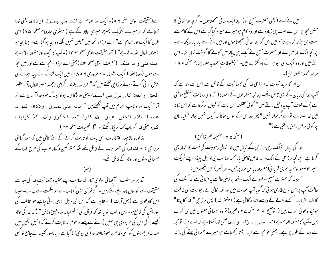ہے(حقیقت الوحی صفحہ ۸۶)۔ ایک اور الہام ہے انت منبی بیمنزلہ اولادی یعنی خدا تحتا ہے کہ تو میرے نزدیک بمنزلہ میری اولاد کے ہے (البشری جلددوم صفحہ ۲۵) اسی طرح کا ایک اور الہام ہے" اے مرزا ، تجھ میں حیض نہیں بلکہ وہ بچہ ہوگیا ہے۔ ایسا بچہ حو بمنزلہ اطفال اللہ کے ہے" ( نتمہ حقیقت الوحی صفحہ ١٣٣ ] ۔ آپ کا ایک اور مشور الہام ہے انت منبی وانا منک (حقیقت الوحی صفحہ ۴۷) یعنی اے مرزا تو مجھ سے ہے اور میں تجھ سے ہوں (معاذ اللہ ) ایک اشتہار ۲۰ فروری ۱۸۸۶ء میں ایک لڑکے کے پیدا ہونے کی پیش گوئی کرتے ہوئے مرزا جی لکھتے ہیں کہ " فرزند ، دلبند ، گرامی ارجمند مظہر الاول وآخر مظہر الحق والعلا كان نزل من السماء يعني وه لرُّكا ايسا ہوگا جيساكه خود خداآسمان سے اتر آیا" ایک اور دلچسپ الہام میں آپ گھتےمیں " انت منبی بـمـنـزل اولادی کقو لہ عليه السلام الخلق عيال الله كقوله تعد فاذكرو والله كذ كرابا ء کىدە يعنى *خد*ا كوپاپ *ك*هە كريكارسكتے ہو-"( تفهيمات صفحه ٢٢)-مذ کورہ بالا چند اقتیاسات اس بات کو ثابت کرنے کے لئے کافی بیں کہ سور گیاشی مرزا جی نہ صرف خدا کی حسمانیت کے قائل تھے بلکہ مشر کین وکفار عرب کی طرح خدا کے

جسما فی بیٹوں اور اولاد کے قائل تھے۔

کمد برسر مطلب -آنجها فی مولوی ثناء الله صاحب اپنے عقیدہ جسمانیت خدا کی وجہ سے حقیقت سے کوسوں دور چلے گئے ہیں۔ اگر قرآن ایسی کتاب ہے حبو حکمت سے پرُ ہے۔ جیسا اس کادعویٰ ہے (یس آیت ) تو ظاہر ہے کہ اس کی دلیل ایسی ہونی چاہیے جو مخاطب کی پوزیش کی قاطع ہو۔ پس واجب نو یہ تھا کہ قرآن کی " فلسفیانہ اور دقیق دلائل " (کہ خدا کی اولاد کیسے ہوگی اس کی نو بیوی ہی نہیں )لانے سے پہلے مرحوم پہ ثابت کرتے کہ انجیل جلیل میں مقدسہ مریم بتول کو کسی مقام پر نعوذ بااللہ خدا کی بیوی کہا گیاہے۔ باجمهور کلیسائے جامع کا کسی

" میں نے اسے ( یعنی حصرت مسیح کو ) اپناایک بعائی سمجھتاہوں۔اگر چہ خدا تعالیٰ کا فصل مجھ پر اس سے بہت ہی زیادہ ہے اور وہ کام حومیرے سپرد کیا گیا ہے اس کے کام سے بہت ہی بڑھ کر ہے تاہم میں اس کو اپنا سا کئ سمجھتا ہوں اور میں نے اسے مار مار دیکھا ہے۔ چنانچہ ایک بار میں نے اور حصرت مسح نے ایک ہی پیالہ میں گائے کا گوشت کھا یا تھا۔ اس لئے میں اور وہ ایک ہی جو ہر کے دو گھڑے بیں۔" (ملفوظات احمد یہ حصہ جہارم صفحہ ۹۹۱ مر تسر محمد منظور الهيٰ)۔

اس امر کا مزید شوت کہ مرزاحی خدا کی حسمانیت کے قائل تھے اس سے ملتا ہے کہ آپ خدا کی زبان کے بھی قائل تھے۔ چنانچہ مسلمانوں کے اعتقاد ( کہ وحی رسالت منقطع ہو گئی ہے )کے خلاف آپ یہ دلیل لاتے ہیں " کوئی عقلمند اس بات کو قبول کرسکتا ہے کہ اس زمانہ میں خداسنتا ہے تو ہے مگر بولتا نہیں ؟ پھر بعد اس کے سوال ہوگا کہ کیوں نہیں بولتا ؟ کیا زبان پر کوئی مرحن لاحق ہو گئی ہے؟"

(صفحه ۱۴۵ صميمه نصرة الحق) خدا کی زبان نوالگ رہی مر زاحی کے خیال میں خدا تعالیٰ رحبولیت کی قوت کا اظہار بھی کرتا ہے۔چنانچہ مرزا جی کے ایک مرید خاص قاصی یار محمد صاحب فی اوایل پلیڈر اپنے ٹریکٹ نمبر ۴۳موسوم یہ اسلامی قربا فی (مطبوعہ ریاض ہند پریس۔امر تسر) میں لکھتے ہیں: " جیسا کہ حصرت مسیح موعود نے ایک موقعہ پر اپنی حالت پہ فرمائی ہے کہ کشف کی حالت آپ پر اس طرح طاری ہو ئی کہ گویاآپ عورت بیں اور اللہ تعالیٰ نے رحولیت کی طاقت کا اظہار فرمایا۔ سنجھنے والے کے واسطے اشارہ کافی ہے ( استغفراللہ ) پس مرزا جی " خدا کا بیٹا " ہو نیکا دعویٰ کرتے ہیں ( توضیح الرام صفحہ ۲۷ وعنیرہ) تو وہ حسمانی معنوں میں ہی کرتے بیں۔آپ کامشور الہام ہے انت منبی بـمنزلہ پولدی یعنی *فدا کھتاہے کہ اے مرز*ا تومجھ سے ولد کے طور پر ہے۔ یعنی تو مجھ سے ایسا رشتہ رکھتاہے جو میرے جسمانی بیٹے کی مانند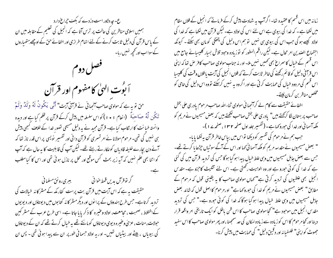ع- چه دلاور است دردے که بکف حیراغ دارد ہمیں اسلامی مناظرین کی حالت پر ترس آتا ہے کہ انجیل کی تعلیم کے مقابلہ میں ان کے پاس قرآن کی دلیل ثابت کرنے کے لئے انتہام طرازی اور اخفائے حق کے اوچھے ہتھیاروں کےسوااب اور تحچیہ نہیں رہا۔



حق تو یہ ہے کہ مولوی صاحب آنجہانی نے قرآنی آیت" أَنَّى يَكُونُ لَهُ وَلَدٌ وَلَمْ تَکُن لَّهُ صَاحِبَةٌ (انعام ١٠١) کواس سلسلہ میں پیش کرکے قرآن پر ظلم کیا ہے اور دیدہ وانستہ خیانت کا ارتکاب کیا ہے۔ قرآن مجید نے یہ دلیل مسیحی تصور خدا کے خلاف کبھی پیش ہی نہیں کی تھی۔ مرحوم مولانا ئے امر تسمری کو قرآن دا نی اور تفسیر پویسی پر اس قدر ناز تھا کہ کہنے دن بچارے خلیفہ قادیان کوللکارتے رہتے تھے۔لیکن آپ کی قابلیت کا یہ حال ہے کہ آپ کو اتنا بھی علم نہیں کہ آیہ زیر بحث کس موقع اور محل پر نازل ہوئی تھی اور اس کا کبامطلب

گر توقرآن بدیں قمط خوانی مسلمانی کے بہری رونق مسلمانی کے ا حقیقت یہ ہے کہ اس آیت میں قرآن بت پرست کفار مکہ کے مشر کا نہ خیالات کی تردید کرتاہے۔حس طرح ہندوؤں کے پرا نوں اور دیگرمشر کا نہ کتا بوں میں دیوتاؤں اور دیویوں کےاختلاط ، صحبت ، محامعت، اولاد وعنیرہ کا ذکر یا یا جاتا ہے۔ اسی طرح عرب کے مشر کین حولات، منات ، عزی وعنیرہ دیوی دیوتاؤں کومانتے تھے بہ خیال کرتے تھے کہ ان کے دیوتاؤں کی بیوباں ، پیٹے اور بیٹیاں تھیں۔ او ر یہ اولاد حسمانی طور پر ان سے پیدا ہو ئی تھی ۔ پس ان

زمانہ میں اس قسم کا عقیدہ تھا۔ اگرآپ یہ شہادت پیش کرکے فرماتے کہ انجیل کے فلاں مقام میں لکھا ہے ۔ کہ خدا کی بیوی ہے اس لئے اس کی اولاد ہے۔ لیکن قرآن میں لکھا ہے کہ خدا کی اولاد کیسے ہو گی جب اس کی بیوی ہی نہیں تو ہم اس دلیل کی پختگی کومان بھی سکتے ۔ کیونکہ اجتماع الصدين امر محال ہے۔ ليكن راقم السطور كو نوزيادہ وحبود تلاش بسيار كليسيائے جامع ميں اس قسم کے خیال کا سمراغ بھی کھیں نہیں ملا۔ اور نہ جناب مولوی صاحب کافر حس تعا کہ اپنی اس قرآنی دلیل کو قائم رکھنے کی خاطر ثابت کرتے کہ فلاں انجیل کی آیت یا فلاں وقت کی کلیسا اس قسم کی مردود خیال کی حمایت کرتی ہے اور اگروہ یہ نہیں کرسکتے تووہ اس دلیل کی خامی کو مخلص مناظر بن کرمان لیتے۔

اخفائے حقیقت سے کام لے کرانجہا نی مولوی ثناء اللہ صاحب مرحوم یادری علی بخش صاحب پر بہتان لگا کرکھتے ہیں" یادری علی بخش صاحب لکھتے ہیں کہ بعض مسیحیوں نے مریم کو مکد آسما فی اور خدا کی حورو <sub>ک</sub>ما ہے ۔ ( تفسیر جلد اول صفحہ ۱۳۲ ، صفحہ <sub>ک</sub>ے ۱ )۔

جب ہم نے مرحوم کی تفسیر کودیکھا تواس میں بیاس خاطر قرآن بہ لکھا یا یا-" بعض مسیحیوں نے مقدسہ مریم کو ملکہ آسما فی کہا اور اس کے آگے سوٹیاں چڑھا یا کرتے تھے۔ جس سے بعض جاہل مسیحیوں میں وہی علط خیال پیدا ہو گیا ہو گا جس کی تردید قرآن میں کی گئی ہے کہ خدا کی کوئی حورو ہے اور وہ الوہیت رکھتی ہے۔ اس لئے تثلیث کاحزو ہے۔ مقد س انجیل بھی غلطیوں کی تردید کرتی ہے" تھاں مولوی صاحب کا یہ یقینی قول کہ مرحوم کے مطابق" بعض مسیحیوں نے مریم کو خدا کی حبورو کہاہے" اورمرحوم کااصل قول کہ شائد بعض جابل مسیحیوں میں وہی علط خیال پیدا ہوگیا ہوگا کہ خدا کی کوئی حورو ہے۔" جس کی تردید مقدس انجيل ميں موحود ہے" تحجا مولوی صاحب کا اس ظن باطل کو ايک تاريخی امر واقعہ قرار دینا اور کجامر حوم کااس کو زیادہ سے زیادہ امکان کی حد سمجھنا ،اور پھر مولوی صاحب کااس سفید حجوٹ کواپنی" فلسفیانہ اور دقییق دلیل" کی حمایت میں پیش کرنا۔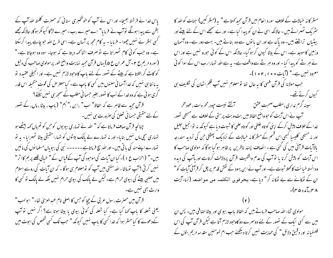پاس خدا نے فرشتہ بھیجا۔ اور اس نے آپ کو خوشخبری سنائی کہ حصرت کلمتہ اللہ آپ کے بطن سے پیدا ہونگے توآپ نے فرمایا" اے میرے رب - میرے لڑکا کیونکر ہوگا، حالانکہ مجھے گسی بسٹر نے نہیں چھوا - فرمایا - یہ کام مجھ پر آسان ہے۔ اسی طرح اللہ حو چاہے پیدا کرسکتا ہے۔ وہ جب کوئی کام ٹھہراتا ہے تو صرف اتنا کھہ دیتا ہے کہ ہوجا۔ سوہ وہ ہوجاتا ہے۔" (سورہ مریم ع ۲ – آل عمران ع ۵) یہاں قرآن مجید نہایت واضح طور پر مولوی صاحب کی دلیل کو کاٹ کر بتلاتا ہے کہ بیٹے کے تصور کے لئے ماپ کاوحبود لازم نہیں ہے۔ اور انجیلی عقیدہ تو یہ ما نتا ہی نہیں کہ خداآسما فی معنوں میں کسی کا باپ ہے۔ کبامعترض کی قوت متخیلہ اس قدر گری ہوئی ہے کہ وہ خدا کے اَب کا تصور بغیر حبیما نی مطلب کے سمجھ ہی سٰیں سکتے؟ قرآن مجید سے ظاہر ہے کہ الفاظ" اب " ،ابن ،" اُم" ( باپ ، بیٹا ، ماں، کے نصور کے لئے حقیقی حسمانی تعلق کی صرورت ہی نہیں۔ چنانچہ قرآن صاف فرماتا ہے کہ " اللہ نے تہاری بیویوں کو حن کو تم ماں کہہ بیٹھے ہو تہاری سچی ماں نہیں بنایا- اور نہ تہارے لے پاک بیٹوں کو تہارا حقیقی بیٹا ٹھہرایا- یہ تو

تہارے اپنے منہ کی یا تی بیں- اور اللہ سچ فرماتاہے۔۔۔۔۔۔ نبی کی بیویاں مسلما نوں کی مائیں بیں۔" (احزاب ع ۱ )۔ کیا ان آیات کی موجود کی آپ کے قباس کے " خیالی قلعے پر بم کااثر" نہیں کر ٹی ؟ آپ نوماشاء اللہ مفتی بیں آپ کو نومعلوم ہی ہوگا - کہ ان آیات کی روسے اسلام میں صلبی بیٹے کی بیوی حرام ہے۔لیکن لے پالک کی بیوی حرام نہیں بلکہ لے پالک تو کسی کا وارث بھی نہیں ہے۔

قرآن میں حصرت رسول عربی کے چچا کو حس کا اصلی نام عبدالعزیٰ تھا۔" ابولہب" یعنی شعلہ کا پاپ کہا گیا ہے۔ کیا شعلہ کی کوئی بیوی یا بیٹا ہوتا ہے؟ اگر نہیں تو آپ کےدعولے کا کیاحشر ہوا کہ خدا کسی کا باپ نہیں کیونکہ " حب تک کسی شخص کی ابوت میں

مشر کا نہ خبالات کے خلاف سورہ ا نعام میں قرآن مجید کھتا ہے " یہ (مشر کین) جنات کوالٹد کا سٹر یک ٹھہراتے بیں - حالانکہ اسی نے ان کو پیدا کیا ہے- اور بے سمجھے اس کے لئے بیٹے اور بیٹیاں تراشنے بیں۔ وہ پاک ہے اور ان یا توں سے وہ بناتے ہیں۔ بہت دور ہے۔ وہ آسمان وزمین کا موجد ہے۔ اس کے بیٹا کیوں کر ہوگیا۔ حالانکہ اس کے کوئی حورو نہیں ہے اور اس نے ہر نئے کو پیدا کیا۔اور وہ ہر نئے سے واقف ہے۔ بہ ہے اللہ تہارارب اس کے سوا کو ئی معبود نہیں ہے۔" (آبات • • ۱، ۲ • ۱)۔ جب مولانا کی قرآن فہمی کا یہ حال تھا تو معلوم نہیں آپ قلم اٹھان کی نکلیف ہی کیوں کرتے تھے۔ سینه گرم نداری،مطلب صحبت عشق مسلم استشے نیست حپودرمحمرہ ات،عود مخر آپ نے اس آیت کو حبو واضح الفاظ میں بت وبت پرستی کے خلاف ہے مسیحی تصور خدا کے خلاف پیش کرکے اپنی کو تاہ غلطی اور کو تاہ علمی کا شبوت دیا ہے کیونکہ نہ تو انجیل جلیل اور نہ مسیحی کلیسا کبھی اس قسم کے مشر کا نہ خبالات کے نزدیک پھٹکی حن کی تردید مندرجہ بالاآبات قرآنی میں کی گئی ہے - انصاف پسند ناظرین پر ظاہر ہو گیا ہوگا کہ مولوی صاحب کا اس آیت کو پیش کرنا یا توآپ کی عدم واقفیت قرآن پردلالت کرتاہے اور ماآپ کی دیدہ ودانستہ خیانت کا کھلا ثبوت ہے۔ اور آپ نے ابن یہود کے نقش قدم پر چل کر قرآنی آیات کو " ان کے ٹھکانے سے بے ٹھکانہ کر" دیاہے۔ یحرفوں الکلمہ من مواضعہ (نیاء آیت  $-(\Gamma \varpi)$ گره ۱۳۵ $\Lambda$ 

مولوی ثناء الله صاحب فرماتے ہیں کہ الفاظ باپ بیوی اور بیٹا اصافی بیں۔ پس ان میں سے کسی ایک کے نصور کے لئے دوسرے دو کاوحبود لازم آتا ہے لیکن قرآن آپ کی اس فلسفیانہ اور دقیق دلائل " کی حمایت نہیں کرتا دیکھئے جب ام لمومنین مقدسہ مریم بتول کے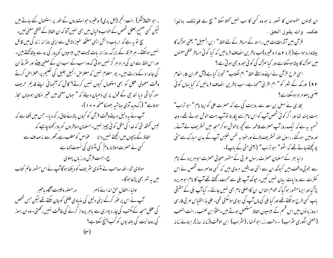، ابو الثفا(شكر) بنت الحجر (جل پرى) وعنيره حواستعاروں كے طور پر استعمال كئے جاتے ہيں لیکن کسی صلحیح العقل شخص کے خواب وخیال میں بھی نہیں آتا کہ ان الفاظ کے لفظی معنی لیں۔ سچ تو ہہ ہے کہ اریاب دانش ایسی مصحکہ خیبز دلائل سے اپنی روزانہ زند کی میں قائل نہیں ہوسکتے۔ ہر فرقہ کے بزرگ روزانہ پات چیت میں بیسپوں کو پیار کی روسے بیٹائھتے، پیں۔ اور اس لفظ سے ان کی مراد ہر گز نہیں ہو تی کہ وہ سب کے سب ان کے صلبی بیٹے اور سثر عاً ان کی جائدا د کے وارث بیں۔ پھر معلوم نہیں کہ معترض انجیل جلیل کی تعلیم پراعتراص کرتے وقت معمولی عقل کو بھی استعمال کیوں نہیں کرتے؟ کاش کہ آنجہانی اپنے قدیم حریف سور گیاشی دیا نند جی کے قول پر ہی دھیان دیتے کہ " جہاں معنی میں عنیر امکان ہو وہاں محاز ہوتاہے" (رک ویدآدی ساشیہ بھومکاصفحہ • • ۱)۔ آپ نے بہ دلیل دیتےوقت قرآن کو کیوں بالائے طاق رکھ دیا۔حبں میں لکھاہے کہ لیس گمثلہ شی کہ خدا کی مثل کوئی چییز نہیں۔مسلمان مناظروں کو مادرکھناچاہیے کہ الفاظ کے پیچوں میں الجھتے نہیں دانا ہے عواص کومطلب ہے،گہر سے نہ صدف سے کسی نے حصرت مولاناروم ؒ کی متنوی کی نسبت کہا ہے ع- ہست قرآن درزباں پہلوی مولوی ثناءاللہ صاحب نے مثنوی سٹریف کو دیکھا ہوگا آپ نے اس مشور عالم کتاب میں یہ شعر بھی پڑھاہوگا۔ اولياء اطفال حق اندائے پسر ہے در حصور وغيبت آگاہ باخسر آپ نے اس پر عوٰر کرکے اپنی دلیل کی بنیادی علطی کوجان سکتے تھے لیکن جس شخص کی عقل مسجد کے مکتب کی چار دیواری سے ماہر پرواز کرنے کی طاقت نہیں رکھتی۔ وہ ان رموز کی روحا نیت کی بلند یوں کو کب پہن<u>چ</u> سکتا ہے؟

ان تینوں مفہوموں کا تصور نہ ہو وہ کسی کا اب ہمیں کہلا سکتا " سچ ہے قولکمہ بانوا هكمه والله يقول الحق . قرآن میں آٹھ مقامات میں راستہ کے مبافر کے لئے لفظ " ا بن السبیل" یعنی سڑک کا

بیٹاوارد ہواہے ( بقرہ ٢ ۷ وعنیرہ)اب ناظرین انصاف فرمائیں کہ کیا کوئی مسافر کفظی معنوں میں سرگرک کا بیٹا ہوسکتا ہے اور کیا سرگرک کی کوئی حبورو بھی ہوتی ہے ؟

اسي طرح قرآن نے اپنے واسطے لفظ" ام الکتاب" تجویز کیا ہے (آل عمران ۵، انعام ۹۲) اور مکہ کے شہر کو " ام القریٰ" کہا ہے۔ اب ناظرین انصاف فرمائیں کہ کیا یہاں کوئی جنسی پہلومراد ہوسکتاہے؟

بخاری نے سہل بن سعد سے روایت کی ہے کہ حصرت علی کو اپنا نام " ابو تراب" بہت پسند تھا اور اگر کوئی شخص آپ کواس نام سے پکارتا نوآپ بہت خوش ہوتے تھے۔ وجہ تسمیہ پہ ہے کہ ایک روز آپ حصرت فاطمہ سے کچھ ناحوش ہو کرمسجد میں تسٹریف لے آئے ، اور وہیں سوگئے ، رسول اللہ تسثر یف لائے اور خود ہہ نفس نفیس آپ کے مدن مبارک سے مٹی پو پچھتے جاتے تھے کہ اٹھو" ابو تراب" (یعنی مٹی کے باپ)۔

د نیا ہھر کے مسلمان حصرت رسول عربی کے مشور صحابی حصرت ابوہریرہ کے نام سے بخو بی واقف بیں کیونکہ ان سے اتنی حدیثیں مروی بیں کہ کسی دوسمرے شخص نے اس کنثرت سے روایات بیان نہیں کیں۔ حپونکہ آپ بلی سے محبت رکھتے تھے آپ کا نام ابوہریرہ پڑگیا اور ایسامشور ہوگیا کہ عوام الناس ان کا اصلی نام بھی نہیں جانتے ۔ کیاآپ بلی کے حقیقی باپ کسی طرح ہوسکتے تھے اور کیا بلی کی ماں آپ کی بیوی ہوسکتی تھی۔علی بذاالقیاس عربی فارسی اردوز یا نوں میں اس قسم کے بیسیوں الفاظ مستعمل ہوتے ہیں۔مثلاً ابن لعنب ، بنت النعب (بمعنی انگوری سثراب) – دحنت رز، ابولمنها، (سثراب) ابن الوقت (زمانه ساز)، ابنائے زمانہ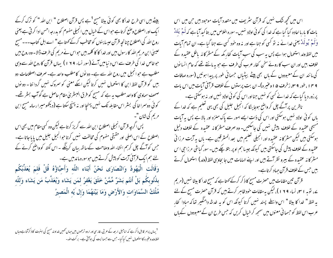بیٹے بیں اسی طرح خداکا بھی کوئی بیٹا مسح <sup>1</sup>ہے ہیں قرآن اصطلاح " ابن اللہ " کو ترک کرکے ا یک اور اصطلاح وصنع کرتاہے حبواس کے خیال میں انجیلی مفهوم کو بدرجہ احسن ادا کر ٹی ہے یعنی روح الله کی اصطلاح چنانچہِ قرآن عیسا یئوں کو مخاطب کرکے کھتا ہے " اے اہل کتاب۔۔۔ مسیح عیسیٰ ابن مریم اللہ کارسول بیں اور خدا کا کا کلمہ بیں حواس نے مریم کی طرف ڈالا۔وہ روح بیں حوفاص خدا کی طرف سے اس د نیامیں آئے (سور نساء ١٩٩) یہاں قرآن کاروح اللہ سے وہی مطلب ہے حوانجیل میں روح اللہ سے ہے۔ دو نوں کا مطلب واحد ہے۔ صرف اصطلاحات دو بیں گو قرآن لفظ ابن کا استعمال نہیں کرتا لیکن اسکے معنی کو سمروک نہیں گردا نتا - دو نوں صحف سماوی کا واحد مطلب یہ ہے کہ مسیح کو فرق البسٹریٰ مقام حاصل ہے گوآپ بسٹر تھے۔ کوئی دوسرا خا کی بسثر اس مقابلہ تک نہیں پہنچا اور نہ پہنچ سکتا ہے (دیکھومیرا رسالہ مسح ابن مریم کی شان "۔

پس اگرچہ قرآن انجیلی اصطلاح ابن اللہ سے گریز کرتا ہے لیکن وہ کسی مقام میں بھی اس اصطلاح کے اس اصلی اور حقیقی مفہوم کی مخالفت نہیں کرتا حوا نجیل جلیل میں پایا جاتا ہے۔ جس کوآگے چل کرہم انشاء اللہ وصاحت کےساتھ بیان کرینگے ۔اس نکتہ کوواضح کرنے کے لئے ہم ایک قرآنی آیت کو پیش کرتے ہیں حوسورہ مائد میں ہے۔ وَقَالَتِ الْيَهُودُ وَالنَّصَارَى نَحْنُ أَبْنَاء اللّهِ وَأَحِبَّاؤُهُ قُلْ فَلِمَ يُعَذِّبُكُم بِذُنُوبِكُم بَلْ أَنتُم بَشَرٌ مِّمَّنْ خَلَقَ يَغْفرُ لمَن يَشَاء وَيُعَذِّبُ مَن يَشَاء وَللَّه مُلْكُ السَّمَاوَاتِ وَالأَرْضِ وَمَا بَيْنَهُمَا وَإِل َيْه الْمَصِيرُ

اس میں تحچہ ننگ نہیں کہ قرآن نثر یف میں متعدد آیات موحود بیں جن میں اس بات کا بار ہا اعادہ کیا گیا ہے کہ خدا کی کوئی اولاد نہیں۔ سورہ اخلاص میں بتا کید آیا ہے کہ اَم پَلڈ وَلَمْ یُولَدْ یعنی غدا نے نہ تو کسی کو جنا ہے اور نہ وہ خود کسی سے جنا گیا ہے۔ ان تمام آیات میں لفظ ولد استعمال ہوا ہے پس یہ سب کی سب آیات کفار مکہ کے مشر کا نہ باطل عقیدہ کے خلاف بیں اور ان سب کا روئے سخن کفار عرب کی طرف ہے جو بہ مانتے تھے کہ عام انسا نوں کی ما نند ان کے معبودوں کے ہاں بھی پیٹے بیٹیاں حسمانی طور پر پیدا ہوئیں (سورہ صافات ۹ میں اعور ۹ سی زخرف ۵ اوغنیرہ)۔ان بت پرستوں کے خلاف قرآئی آیات میں اس بات پر زور دیا گیا ہے کہ خدا نے کسی کو نہیں جنااور اس کی کوئی اولاد نہیں اور نہ ہوسکتی ہے۔ ناظرین پر آگے چل کر واضح ہوجا پٹگا کہ انجیل جلیل کی بھی یہی تعلیم ہے کہ خدا کے یاں کوئی اولاد نہیں ہوسکتی اور اس کی ذات ایسے امور سے پاک منزہ اور بالا ہے پس بہ آیات مسیحی عقیدہ کے خلاف پیش نہیں کی جاسکتیں۔ وہ صرف مشر کا نہ عقیدہ کے خلاف دلیل ہوسکتی ہیں لیکن مسٹر کا نہ عقیدہ اور انجیلی تعلیم میں بعد المسٹر قین ہے۔ ہاں بہ آیت مرزا ئی عقیدہ کے خلاف پیش کی جاسکتی بیں کیونکہ جیسا ہم او پر بتلا چکے ہیں۔ سور گیاشی مرزا جی اس مشر کا نہ عقیدہ کے بیرو نظر آتے ہیں اور اپنے الہامات میں جا بحاویی لفظ (ولد ) استعمال کرتے بیں جس کے خلاف قرآن جہاد کرتاہے۔

قرآن تىين مقامات مىن حصرت مسح كا ذكر كركے كھتا ہے كہ مسح خدا كا بيٹا نهيں (مريم ے، نوبہ ۱ سی نساء ۱۹۹)، لیکن یہ مقامات خود ظاہر کرتے ہیں کہ قرآن حصرت مسح کے لئے یہ لفظ " خدا کا بیٹا " اس واسطے پسند نہیں کرتا کیونکہ اس کو یہ خدشہ دامنگیر تعاکہ مبادا کفار عرب اس لفظ کو حسما فی معنوں میں سمجھ کر خیال کریں کہ حس طرح ان کے معبودوں کے ہاں

<sup>1</sup>یہاں پرامر قابل ذکر ہے کہ اناحبیل اربعہ کے عربی، فارسی اور اردو ترجموں میں جہاں ٹھیں خداوند مسج کی ابنیت کا ذکرآتا ہے وہاں لفظ ولد وعنيرہ كااستعمال نهيں كياگيا۔حبں سے حبيمانيت كى بوآتى ہے۔ بركت الله -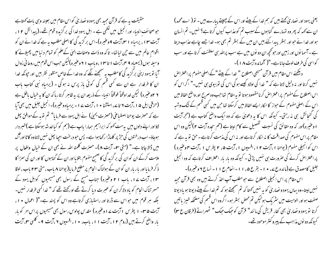یعنی یہود اور نصاریٰ کھتے ہیں کہ ہم خدا کے بیٹے اور اس کے چھپتے پبارے ہیں۔ نو( اےمحمد) ان سے کہہ کہ پھر وہ تہمارے گناہوں کےسبب تم کوعذاب کیوں کرتا ہے؟ نہیں۔ تم انسان ہو اور خدا نے حو اور بسٹر پیدا کئے ہیں ان میں کے بسٹر تم بھی ہو۔ خدا جسے چاہے عذاب دیتا ہے۔آسما نوں اور زمین اور حو تحچھ ان دو نوں میں ہے سب پرالٹد ہی سلطنت کرتا ہے اور سب کواسی کی طرف لوٹ جانا ہے۔"( آلمائدہ آیت ۱۸ )۔

دیکھئے اس مقام میں قرآن مسیحی اصطلاح " خدا کے بیٹے "کے اصلی مفهوم پر اعتراض نہیں کرتا اور نہ دلیل لاتا ہے کہ " خدا کی اولاد کیسے ہو گی اس کی نوبیوی ہی نہیں۔" اگر اس کو اس اصطلاح کےمفهوم پر اعتتراض کرنامقصود ہوتا تو بہ مقام تھا جب وہ صرح اور واضح الفاظ میں اس کے اصلی مفهوم کے حواز کا اکار ایسے الفاظ میں کرسکتا تھا حن میں کسی قسم کے شک وشیہ کی گنجائش ہی نہ رہتی۔ کیونکہ اس کا بہ دعویٰ ہے کہ وہ ایک واضح کتاب ہے (حجر آیت ا وعنیرہ)اور کہ وہ حقائق کی نسبت تفصیل سے کام لیتا ہے (حم سحدہ آیت ۲)لیکن وہ اس مقام پراس مفهوم کی صداقت کا نہ الکار کرتاہے اور نہ اس کی مذمت کرتاہے ۔حق تو یہ ہے کہ اس کوانجیلی مفهوم (پوحنا ۱،آیت ۲ ۱، افسپوں ۱، آیت ۵، ۲ پطرس ۱ ،آیت ۴ وعنیره ) پر اعتراض کرنے کی صرورت ہی نہیں پڑتی ۔ کیونکہ وہ بار بار اعتراف کرتاہے کہ وہ انجیل جلیل کامصدق ہے (مائدہ ع ۱۰ - بقرع ۵، ۱۱-انعام ع ۱۱- نساع ۶ وعنیرہ)۔ اس مقام پر اس انجیلی اصطلاح سے حو مطلب آپ اخذ کرتے ہیں وہ بھی قرآن مجید نہیں لیتا-وہ یہاں یہود و نصاریٰ کو بہ نہیں کھتا کہ تم سمجھتے ہو کہ تم خدا کے بیٹے دیوتا ہو یا دیوتا صفت ہو اور الوہیت میں سٹر یک ہولیکن تم محض بسٹر ہو۔ اگروہ اس قسم کی مضحکہ خیبز پاتیں كرتا تويهود و نصار بي بھي كفار قريش كي مانند" قرآن كوجيك حيك " لٹھهراتے (فرقان ع ٣)

کیونکہ دو نوں مذاہب کے پیروکٹر موحود تھے۔

حقیقت پہ ہے کہ قرآن مجید بھی یہود و نصاریٰ کواس مقام میں بعینہ وہی بات کھتاہے حوصحائف انبیاء اور انجیل میں لکھی ہے ۔اہل یہود خدا کی برگزبدہ قوم تھے۔(پیدائش ۱۲، آیت ۱۳، پرمباه ۱ س<sub>ان</sub>آیت ۹وعنیره)-اس برگزید گی کااصلی مطلب به ہے کہ خدا نے ان کو اقوام عالم میں سے حین لیاتھا۔ تاکہ وہ ذات وصفات الہٰی کےعلم کو تمام د نیامیں پھیلانے کا وسیله ہوں (یسعیاہ ۹ سی آیت ۱ تا ۱۳ ، وباب ۱ ۲ وعنیرہ)لیکن جب اس قوم میں روحا نی زوال آما تو یہود اپنی بر گزید گی کامطلب بہ سمجھنے لگے کہ وہ خدا کے خاص منظور نظر بیں اور حیونکہ خدا ان کا طرفدار ہے ان سے کسی قسم کی کوئی باز پرس نہ ہوگی ۔ (پرمیاہ نبی کتاب باب ۲ ۲ وعنیرہ) لیکن خداوقتاً فوقتاً انبیاء کے ذریعہ ان پر بہ ظاہر کرتاربا کہ ان کا یہ خیال باطل ہے (حزقی ایل ۵ ۱ ،آیت ۲ تاپے، استشنا • ۱ ، آیت ۷ ۱ - پرمیاه وعنیره)۔انجیل جلیل میں بھی آیا ہے کہ حصرت یوحنا اصطباعی (حصرت یحییٰ) نے اہل یہود سے فرمایا" تم توبہ کے موافق پھل لاؤ اور اپنے دلوں میں بہ مت کھو کہ ابراہیمِ ہمارا پاپ ہے (ہم کو کیا خدشہ ہوسکتا ہے )خبر دار ہوجاؤ۔ اب درختوں کی حرِثر پر کلہاڑا رکھاہوا ہے۔ پس حبو درخت احیہا پھل نہیں لاتا وہ کاٹا اور آگ میں ڈالا جاتا ہے۔" (متی سو۔آیت ۸)۔ حصرت کلمتہ اللہ نے بھی ان کے خیال وافعال پر ملامت کرکے ان کو ان کی بر گزید گی کاضحیح مفهوم بتلایا اور ان کے گناہوں کا اور ان کی سمزا کا ذ کر فرما یا اور یا ریار ان کو ان کے ہولناک انحام پر مطلع فرما یا( یوحنا ۸ باب ، متی ۲۳ باب ، لوقا ۱۳، آیت ۱۷، باب ۲۱ وغیرہ) جناب مسح کے رسول بھی مسیحیوں کواہل یہود کے حسر تناک انجام کو باد دلاکر ان کوعبرت دیا کرتے تھے اورکھتے تھے کہ " غدا کسی طرفدار نہیں۔ بلکہ ہر قوم میں حواس سے ڈرتا اور راستیازی کرتاہے وہ اس کو پسند ہے۔"( اعمال • ۱ ، آیت ۲۵–۱ بطرس ا آیت ۷ اوغیره) مقدس پولوس رسول بھی مسیحیوں پراس<sup>ا</sup>مر کو بار بار واضح کرتے ہیں (روم ۱۲، آیت ۱۱، باب، ۱۰، افسپوں ۲، آیت ۹۔ کلبی س<sub>ا،</sub> آیت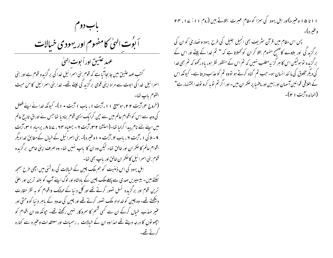

ا ا تا ۱۵ وعنیره)اور اہل یہود کی سزا کو مقام ِ عبرت بتلاتے بیں (روم ۱۱: ۲۴، ۲۳ وغيره)-

پس اس مقام میں قرآن سٹریف بھی انجیل جلیل کی طرح یہود و نصاریٰ کو ان کی بر گزید کی اور بلاوے کاضحیح مفهوم بتلا کر ان کو تھلاتا ہے کہ " تم خدا کے بیٹے اور اس کے بر گزیدہ تو ہولیکن اس کا ہر گزیہ مطلب نہیں کہ تم اس کے منظور نظر ہو، یا درکھو کہ تم بھی خدا کی دیگر مخلوق کی ما نند انسان ہو۔ حب تم گناہ کرتے ہو تووہ تم کو عذاب دیتا ہے۔ کیونکہ اس کے اخلاقی قوا نین آسمان اور زمین اور مافہیا پر حکمر ان بیں۔اور اگر تم تو ہہ کرو توخدا بخشنہار ہے" (المائده آيت ۲۱)-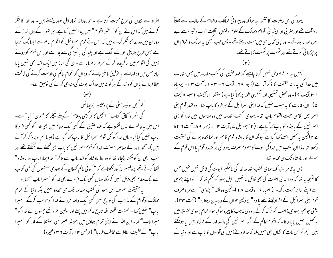افراد سے بجوں کی طرح محبت کرتا ہے ۔ حبوروزانہ نماز اہل یہود پڑھتے ہیں۔ وہ خدا کا شکر کرتے ہیں کہ اس نے ان کو " عنیر اقوام" میں پیدا نہیں کیا ہے۔ہر نہوار کے دن نماز کے دوران میں وہ خدا کا شکر کرتے ہیں کہ اس نے قوم اسرائیل کواقوام عالم سے ایسالگ کرلیا ہے جس طرح تاریکی نور سے الگ ہے اور پلبد کی پاکیز کی سے جدا ہے اور اس قوم کو روئے زمین کی اقوام میں برگزیدہ کرکے سمر فراز فرمایا ہے۔ ان کی نماز میں ایک لفظ بھی نہیں پایا جاتا حس میں وہ خداسے پہ توفیق مانگی جائے کہ وہ ان کو اقوام عالم کی خدمت کرنے کی طاقت عطا فرمائے باان کو د نباکے ہر گوشہ میں خداک ابوت کی منادی کرنے کی توفیق ملے۔

گوشمجن یو نیورسٹی کے پروفیسر حریمائس کی شہر ہ آفاق کتاب " انجیل کا مر کزی پیغام" کے پہلے کیچکر کا عنوان" اَبا" ہے۔ اس میں بہ عالم بے بدل لکھتاہے کہ عہد عتیق کے کسی ایک مقام میں بھی خدا کو کسی فرد کا باپ نہیں کیاگیا۔ ہاں خدا کو کل قوم اسمرائیل کا باپ کہا گیا ہے (جیسا ہم اوپر ذکر کرآئے ہیں )۔ آنخداوند کے معاصر مصنف خدا کو قوم اسمرائیل کا باپ بھی لکھنے سے جھچکتے تھے اور حبب کسمی ان کولکھنا پڑحاتا تھا تووہ لفظ مادشاہ کولفظ پاپ سے ملاکر " خدا ہمارا پاپ اور بادشاہ " لکھا کرتے تھے پروفیسر مذ کورلکھتاہے کہ " کوئی عالم کنعان کے یہودی مصنفوں کی کسی کتاب سے ایک مقام بھی پیش نہیں کرسکتاجہاں کسی ایک فر دنے بھی خدا کو" میرا باپ" کہا ہو۔ یہ حقیقت صرف اہل یہود کی کتب مقدسہ تک ہی محدود نہیں بلکہ دنیا کے تمام ممالک اوقوام کے مذاہب کی تاریخ میں کسی ایک واحد فر دنے خدا کو مخاطب کرکے " میرا باپ" نہیں کہا ۔ حصرت کلمتہ اللہ تاریخ عالم میں پہلے اور اولین فر دتھے جنہوں نے خدا کو " میرا باپ" کہا۔ ابن اللہ نے اپنی تمام دعاؤں میں ہمیشہ بغیر کسی استشنا کے غدا کو " میرا باپ" کے لطیف الفاظ سے مخاطب فرمایا" (مرقس ۴۰، آیت ۲ سووغیرہ)۔ یہود کی اس ذہنیت کا نتیجہ یہ ہوا کہ وہ بیرونی ممالک واقوام کے حالات سے کلیتاً ناواقف تھے اور مغر بی اور ایشیا ئی اقوام وممالک کے علوم و فنون ، آلات حرب وعنیرہ سے بے بہرہ اور نا بلد تھے۔اور اپنی تھال ہی میں مست رہتے تھے۔ پس جب کبھی بہ ممالک واقوام ان پر حِرْحائی کرتے تھے اور شکست پر شکست کھاتے تھے۔

ہمیں یہ امر فراموش نہیں کرنا چاہیے کہ عہد عتیق کی کتب مقدسہ میں جس مقامات میں خدا کی پدرانہ شفقت کا ذکر آیا ہے (زبور ۲۸، آیت ۲ - ۲۰۳ ، آیت ۱۳ - یرمیاہ ۱ ۳،آیت ۹)- وہ محض تمثیلی اور تشبیهی طور پر کہا گیاہے (استشنا ۱ ،آیت ۱ س - ۸آیت ۵)۔ ان مقامات کا یہ مطلب نہیں کہ خدا بنی اسرائیل کے ہر فر د کا باپ تھا۔ وہ فقط قوم بنی اسرائیل کامن حیث القوم باپ تھا۔ یہودی کتب مقدسہ میں دو مقاموں میں خدا کو بنی اسرائیل کے بادشاہ کا باپ کہاگیاہے۔ ( ۲ سیموئیل ے، آیت ۱۳ - زبور ۸۹-آیت ۲ ۲ تا ے ۲ )لیکن بی<sup>رم</sup>حض اسلئے <sub>ک</sub>ما گباہے کیونکہ ان کا بادشاہ قوم کا سمر اور نمائندہ ہونے کی حیثیت رکھتا تھا لہذا ان کتب میں خدا کی ابوت کا مفہوم صرف یہود کی برگزیدہ قوم یا اس قوم کے سردار اور بادشاه تک سی محدود تھا۔

یس بہ ظاہر ہے کہ یہودی کتب مقدسہ خدا کی عالمگیر ابوت کی قائل نہیں تھیں جس کا نتیجہ ہیہ تھا کہ وہ انسانی اخوت کی بھی قائل نہ تھیں۔ اہل یہود کو صحم تھا کہ " تواپنے پڑوسی سے اپنے برابر محبت رکھ۔"( احبار ۹ ، ) آیت ۱۸)۔لیکن وہ فقط " پڑوسی " سے مراد صرف قوم بنی اسرائیل کے افراد لیتے تھے یا وہ " پردیسی حوان کے درمیان رہتا ہو" (آیت ۳۴)۔ یعنی حوعنپر یهودی مذاہب کو ترک کرکے یہودی مذہب کا پیروہوگیا ہو۔ تمام یہودی لٹریچرمیں بہ تھمیں نہیں پایا جاتا ۔کہ اقوام عالم کے لوگ اسمرائیل کی مانند خدا کے فرزند بیں یا ہوسکتے بیں۔ ہم کواس بات کا نشان بھی نہیں ملتا کہ خداروئے زمین کی قوموں کا باپ ہےاور د نیا کے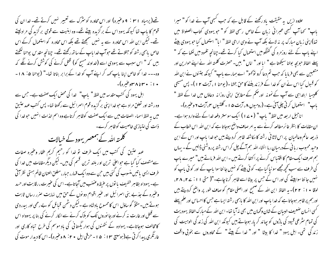تھے(پرمباہ ۳۱ : ۹ وعنیرہ) اور اس محاورہ کو سُرگ سے تعبیر نہیں کرتے تھے۔ <sub>خدا</sub>ان کی قوم کا باپ تھا کیونکہ یہود اس کے بر گزیدہ بیٹے تھے۔ وہ ابنیت سے قومی بر گزید کی مرادلیتے تھے۔ لیکن ابن اللہ اس محاورہ سے بہ نہیں صمجھتے تھے بلکہ اس محاورہ کو استعمال کرکے اس خاص پاہمی رشتہ کو جتلاتے تھے حوآپ خدا پاپ کے ساتھ رکھتے تھے۔ چنانچہ مقدس پوحنا لکھتے ہیں کہ " اس سبب سے یہودی اسے (غداوند مسح کو) قتل کرنے کی کوشش کرنے لگے کہ وہ۔۔۔ غدا کو خاص اپنا پاپ کہہ کر اپنے آپ کو غدا کے برابر بناتا تھا۔" (یوحنا ۵: ۱۸ -۱۰: ۳۰ تا ۳۸ وغیره)-اہل یہود کی کتب مقدسہ میں لفظ " پاپ" خدا کی محض ایک صفت ہے۔ جس سے وہ رشتہ اور تعلق مراد ہے حوخدا اپنی برگزیدہ قوم اسمرا ئیل سے رکھتا تھا۔ پس کتب عہد عتیق میں یہ لفظ اسماء الصفات میں سے ایک صفت کوظاہر کرتاہے وہ اسم الذات انہیں حوخدا کی ذات کی امتیازی خاصیت کوظاہر کرے۔ کلمتہ اللہ کے ہمعصر یہود کے خیالات عہد عتین کی کتب میں ایک طرف تو خدا کو رحیم کریم عفار وغیرہ صفات سےمتصف کیا گیا ہے جو اعلیٰ ترین او رہلند ترین قسم کی بیں۔ لیکن دیگر مقامات میں غدا کی طرف ایسی یا تیں منسوب کی گئی بیں حن سے وہ ایک قہار، جبار، مطلق العنان ظالم ہستی نظر آتی ہے۔ یہوداہ بظاہر خفیف یا نوں پر عنیظ وعضب میں آجاتاہے۔اس کی عنیرت، رقابت اور حسد وعنیرہ کے جذبے بنی اسرائیل اور عنیر اقوام دو نوں کے حن میں نہایت صرر رساں ثابت ہوتے ہیں۔مثلاً گو ساؤل اس کا ممسوح بادشاہ ہے ۔لیکن دشمن قبائل کو بے رحمی اور بیدردی سے قتل اور غارت نہ کرنے اور جا نوروں تک کو بلاک کرنے سے اکار کرنے کی بنا پر یہوواہ اس کامخالف ہوجاتاہے۔ یہوادہ کے نتھنوں کی ہوار یگسانی کی باد موسم کی طرح تباہ کاری اور غارتگری پیدا کرتی ہے(ہوسیج ۱۳ : ۵ ا - حزقی ایل ۲۰ : ۸ وعنیرہ)۔اس کا دیدار موت کی

علاوہ ارب یہ حقیقت یاد رکھنے کے قابل ہے کہ حب کبھی آپ نے خدا کو " میرا باپ" کہا آپ کبھی عبرانی زبان کے خاص رسمی لفظ کو " حو یہودی کتاب الصلواۃ میں تھا)اپنی زبان مبارک پر نہ لائے بلکہ آپ نے وہی ارامی لفظ " ایا" استعمال کیا جو یہودی بیٹے اپنے ماپ کے لئے روزمرہ کی گفتگو میں استعمال کیا کرتے تھے۔چنانچہ تلمود میں لکھا ہے کہ " پہلے الفاظ حوبجہ بولنا سیکھتا ہے " ابا اور " اماں " ہیں۔حصرت کلمتہ اللہ نے اپنے حوارین اور متعبین سے بھی فرما یا کہ حب تم دعا کرو توکھو" اے ہمارے پاپ" کیونکہ جتنوں نےا بن اللہ کو قسول کیا اس نے ان کو خدا کے فرزند بغنے کا حق بخشا -(یوحنا ۱، آیت ۱۲)- پس مسیحی کلیسا ابتداہی سے آپ کے نمونہ اور حکم کے مطابق اپنی روزانہ دعاؤں میں خدا کے لفظ " باپ" |ستعمال کرتی چلی آئی ہے۔(رومیوں ۸، آیت ۵ ا - گلتیوں ۴، آیت ۶ وعنیرہ)۔ اناجیل اربعہ میں لفظ" پاپ" ( • ۷ ) ایک سوستر دفعہ خدا کے لئے وارد ہوا ہے۔ ان مقامات کا بنظر غائر مطالعہ کرنے سے یہ امر صاف واضح ہوجاتا ہے کہ ابن اللہ اس خطاب کے ذریعہ عالم وعالمبان پر اس لاثا فی رشتہ کا مکاشفہ ظاہر کردیتے ہیں حو خدا پاپ اور اس کے ابن وحید محبوب ریا فی کےدرمیان رہا انشاء اللہ ہم آگے چل کراس رشتہ پرروشنی ڈالیں گے - یہاں ہم صرف ایک مقام کا اقتساس کرنے پر اکتفا کرتے ہیں ۔ ابن اللہ فرماتے ہیں" میرے پاپ کی طرف سے سب کچھ مجھے سو نیا گیا ہے۔ کوئی بیٹے کو نہیں جا نتاسوا باپ کے اور کوئی باپ کو نہیں جا نتا سوابیٹے کی اور اس کے جس پر بیٹا اسے ظاہر کرنا چاہے۔"( متی ۱۱: ۲۸، ۲۸، لوقا ٭ ا ` ٢٢)- يہ الفاظ ابن الله کے صحیح اور اصلی مقام کو صاف طور پر واضح کردیتے بیں اور ہم پر ظاہر ہوجاتا ہے کہ خدا پاپ اور ابن اللہ کا پاہمی رشتہ ایسا ہے جس کا احساس اور علم پہلے گسی انسان ضعیف البسان کے شان وگھان میں بھی نہ آیا تھا۔ ابن اللہ کے مبارک الفاظ یہودیت کی تمام سٹر عی قیود کی باڑوں کو بیاند کر یار ہوجاتے بیں کیونکہ ابن اللہ کی زند کی الوہیت کی زند گی تھی۔ اہل یہود " خدا کا بیٹا " اور " خدا کے بیٹے " کے محاوروں سے بخو بی واقف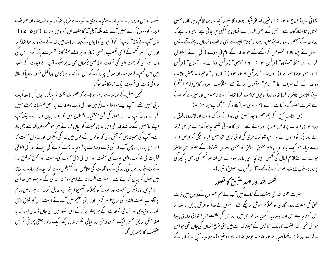نصور کو اس حد درجہ کے مبالغہ سے نجات دی ۔ آپ نے فرمایا تھا کہ آپ نوریت اور صحائف انبیاء کومنسوخ کرنے نہیں آئے تھے بلکہ آپجی آمد کامقصد ان کو کامل کرنا تھا۔(متی ۵: ۲۰)۔ پس آپ نےلفظ" پاپ " کو ( حوان کتابوں کے چند مقامات میں خدا کے لئے وارد ہوا تھا) لیا اور اس کو ہر قسم کے قومی تعصب ، نسلی امتیاز اور ہر ایسے مشر کا نہ عنصر سے پاک کردیا جس کی وجہ سے کسی کو ذات الہٰیٰ کی نسبت علط فہمی کاٹمان بھی نہ ہوسکے ۔آپ نے ابوت کے تصور میں اس قسم کےمطالب اور معافی پیدا کرکے اس کو ایک ایسا کامل اورائحمل تصور بناد ماکہ لفظ خدا کی ذات کی نسبت ایک نبامکاشفہ ہو گیا۔

انجیل جلیل کے مطالعہ سے ظاہر ہوتاہے کہ حصرت کلمتہ اللہ دیگرر بیوں کی ما نند ایک ر پی نہیں تھے ۔ آپ اپنے مواعظ و نصائح میں خدا کی ذات وصفات پر کسمی فلسفیانہ بحث نہیں کرتے اور نہ آپ خداکے تصور کی کسی منطقیانہ اصطلاح میں تعریف بیان فرماتے - بلکہ آپ اپنے سامعین کے سامنے خدا کی اس ایدی محبت کو بیان فرماتے ہیں حوفہم وادراک سے بھی بالا ہے۔آپ کی ہمیشہ یہی کوشش رہی کہ لوگوں کےدلوں میں خدا کی بیکراں اور لازوال محبت کا احساس پیدا ہو۔ پس آپ خدا کی ذات وصفات پر فلسفیانہ بحث کرنے کی بجائے خدا کی اخلاقی فطرت کی سژوکت، الهیٰ ابوت کی حشمت اور اس کی ازلی محبت کی وسعت اور محمق کو خلق خدا کے سامنے روز مرہ کی زند کی کے واقعات کی مثالیں اور تمتیلیں دے کر سیدھے سادے الفاظ میں کھول کر ببان کردیتے تھے۔حصرت کلمتہ اللہ نے اپنی روزا نہ زند کی کے ہر پہلو میں خدا کی بے قباس اور بیکراں محبت اور ا بوت کو مجملاً اور تفصیلاً اپنے بے حدیل نمو نہ سے ہر خاص وعام پر آفتاب نصف النہار کی طرح ظاہر کردیا اور اپنی تعلیم میں آپ نے ابوت الہیٰ کااطلاق واضح طور پر د نیاوی اور انسا فی تعلقات کے ہر پہلو پر کرکے اس تصور میں نئی جان ڈالدی ایسا کہ یہ لفظ مثل سابق محصّ ایک مجرد، ذہنی اور خیالی تصور نہ رہا بلکہ ایک زندہ چلتی پھر قی ٹھوس حقيقت كالمجسمه بن گيا-

نشانی ہے(خروج ۲۰ : ۹ ا وعنیرہ)۔ غرضیکہ یہوواہ کا تصور ایک جابر، ظالم، جفا کار ، مطلق العنان شاہنشاہ کاسا ہے ۔ حس کے محص خیال سےانسان پر کیکپی حیاجاتی ہے۔ یہی وجہ ہے کہ خداوند کے ہمعصر یہوواہ اپنے معبود یہوواہ کا نام لینے سے بھی خائف و ترساں رہتے تھے۔ پس ائنوں نے چند الفاظ مخصوص کر رکھے تھے جو وہ خدا کے نام (یاہ وے ) کی بجائے استعمال كرتے تھے مثلاً "ستودہ" (مرقس ٢١: ٩١) "العلي" (مرقس ۵: ۷)-" آسمان" (مرقس ۱۱: ۳، یوحنا ۲۲: ۲۷" قدرت " (مرقس ۶۲: ۲۴) " خداوند " وغیره - بعض اوقات وہ خدا کے لئے صرف لفظ " نام" استعمال کرتے تھے۔ مثلاً حب سردار کابن(امام اعظم) اپنے گناہوں کااقرار کرتا تھاوہ خدا کو یوں مخاطب کرتا تھا۔" اے نام-میں اور میرے گھرانے نے تیرے حصور گناہ کیاہے۔اے نام ، توہی میرا کفارہ کر۔"(کتاب حبوما ۳: A)۔ پس جناب مسح کے ہم عصر وحود مطلق کی ماورائے ادراک ذات اور لامحدود مافوق ، دراءالوریٰ صفات پرخاص طور پر زور دیتے تھے۔ اس کا قدر تی نتیجہ یہ ہوا کہ جب فریسی فرقہ نے زور پکڑا تو انہوں نے مراسم وشعائر ظاہری کی اد ٹی ترین تفاصیل کیاادا سُیگی کو فرص قرار دے دیا۔ حبو ایک بلند وبالا، قادر مطلق ، خالق اور مطلق العنان شهنشاه کے حصور میں حاصر ہونے کے لئے لازم خیال کی کئیں۔ جہانچہ اسی بنا پر یہود کے اہل فقہ ہر قسم کی رسمی پاکیز گی پرزوردینے پرغایت اصرار کرتے تھے۔"( مرقس پے: سالخ وعنیرہ)۔

كلممته التداور عهد عتبيق كالضور

حصرت کلمتہ اللہ کی بعثت کےزمانے میں آپ کے ہم عصروں کےدلوں میں ذات الہٰیٰ کی نسبت پرورد گاری کو عملاً فراموش کرچکے تھے۔انہوں نے غدا کو عرش بریں پر بٹھا کر اس کو د نیا سے اس قدر بلند و بالا کرد یا تھا کہ اس میں اور اس کی خلقت میں انتہائی دوری پیدا ہو گئی تھی۔خداخلقت کا مالک تھا جس کے قبصنہ قدرت میں بنی نوع انسان کی جان تھی حواس کے عہداور غلام تھے(احبار ۲۵ : ۵۵۔ یوحنا ۱۵ : ۵۵ وغیرہ)۔ جناب مسح نے غدا کے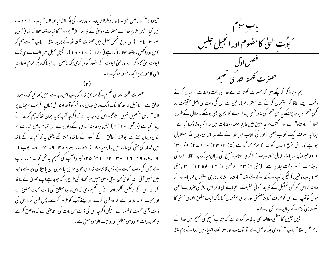"یہوواہ " کو حاصل تھی - بالفاظ دیگر لفظ باوے اور رب کی جگہ لفظ اَ ما اور لفظ " پاپ " اسم ذات بن گیا۔ جس طرح خدا نے حصرت موسیٰ کے ذریعہ لفظ" یہواہ " کا نیا مکاشفہ عطا کیا تھا (خروج ۴۰: ۱۳ تا ۱۹ )اسی طرح انجیل جلیل میں حصرت کلمتہ اللہ کے ذریعہ لفظ " پاپ " سے ہم کو کامل او رائممل مکاشفہ عطا کیا گیا ہے ( یوحنا ۱ : ۲ + تا ۱۸ )۔ انجیل جلیل میں الف سے ی تک ا بوت الہیٰ کا ذکر ہے اورالہیٰ ا بوت کے تصور کو مر کزی جگہ حاصل ہے ایسا کہ دیگر تمام صفات الهیٰ کامحور یہی ایک نصور ہو گیاہے۔

حصرت کلمتہ اللہ کی تعلیم کےمطابق غدا کو باپ اس وجہ سے نہیں کہا گیا کہ وہ ہمارا خالق ہے۔انا جیل ار بعہ کا ایک ایک ورق حیان مارو تم کوآنخداوند کی زبان حقیقت ترحمان پر لفظ" خالق "تحمیں نہیں ملے گا- اس کی وجہ یہ ہے کہ اگر چہ آپ کا یہ ایمان تعا کہ ہم کوخدا نے پبدا کیا ہے (مرقس ٭ ا : ۲ ) لیکن وہ عامتہ الناس کے دلوں سے ان تمام ماطل خیالات کو لکال دینا چاہتے تھے حولفظ" خالق " کے نصور کے ساتھ وابستہ تھے یعنی یہ کہ ہم خدا کے باتھ میں حمہار کی مٹی کی مانند بیں۔( پرمیاہ ۱۸ : ۲ تا ۲۔ یسعیاہ ۴۵: ۹۔ ۲۳ : ۸۔ ایوب ۱ : ۹ - یسعیاه ۹ تا: ۱۲ : ۳۰ : ۲۳ - ۲۱ : ۵ ۲ وغیره) آپ کی تعلیم په تھی که خدا ہمارا پاپ ہے جس کی ذات محبت ہے پس کا ئنات خدا کی تلون مزاجی پالہری پن پالیلا کی وجہ سے وحود میں نہیں آئی ۔خدا کوئی من موجی ہستی نہیں حو کھہار کی طرح ہو کہ حوجاہے اپنے مخلوق کے ساتھ کرے اس کے برعکس کلمتہ اللہ نے یہ تعلیم دی کہ اس وحبود مطلق کی ذات محبت مطلق ہے اورمحبت کا یہ تقاضا ہے کہ وہ خلق کرے اور اپنے آپ کو ظاہر کرے۔ پس خلق کرنا اس کی ذات یعنی محبت کاظہور ہے۔لیکن اگرچہ اس کی ذات اس بات کی متقاصٰی ہے کہ وہ خلق کرے تاہم وہ ذات خود وحودِ مطلق اور واحب الوحود ہستی ہے۔

باب سوٌم<br>اَبوۡتِ الهیٰ کامفہوم اور انجیل جلیل حصرت كلمته اللدكي تعليم ہم اوپر ذکر کرچکے ہیں کہ حصرت کلمتہ اللہ نے خدا کی ذات وصفات کو بیان کرتے وقت ایسے الفاظ کو استعمال کرنے سے احتراز فرمایا حبن سے اس کی ذات کی اصل حقیقت پر کسی قسم کا پردہ پڑسکے پا کسی قسم کی علط قہمی پیدا ہونے کا امکان بھی ہوسکے ۔ مثال کے طور پر لفظ " بادشاہ" لے لو۔ کتب عہدِ عتین میں جا بجا متعدد مقامات میں خدا کو بادشاہ کہا گیا ہے۔ چنانچہ صرف ایک کتاب یعنی زبور کی کتاب میں خدا کے لئے یہ لفظ بیسیوں جگہ استعمال ہواہے اور بنی یوع انسان کو خدا کا غلام کھاگیا ہے (۵: ۲/ ۱۴ : ۱۰ / ۲۷: ۹/ ۱۳: ۱ اوعنیرہ) پر یہ بات قابل عوٰر ہے۔ کہ اگر چہ جناب مسیح کی زبانِ مبارک پر الفاظ " خدا کی بادشاہت " ہر وقت جاری تھے۔ (متی ۲: ۳۳- مرقس ۱: ۱۴- لوقا ۱۲: ۳۱، متی ۱۳ ماب وعنیرہ) لیکن آپ نے خدا کے لئے لفظ " بادشاہ " شاذو نادر ہی استعمال فرمایا- اور اگر عامتہ الناس کو کسی تمثیل کے ذریعہ کوئی حقیقت سمجانے کی خاطر اس لفظ کی صرورت لاحق ہو ئی توآپ نے اس کو صرف کنا یتۂً ضمنی طور پر ہی استعمال کیا تا کہ ایک مطلق العنان ہستی کا تصور بنی آدم کے اذبان سے لُکل جائے۔ انجیل جلیل کا سطحی مطالعہ بھی یہ ظاہر کردیتاہے کہ جناب مسح کی تعلیم میں خدا کے

نام یعنی لفظ" باپ " کووہی جگہ حاصل ہے نو نوریت اور صحائف انبیاء میں خدا کے نام لفظ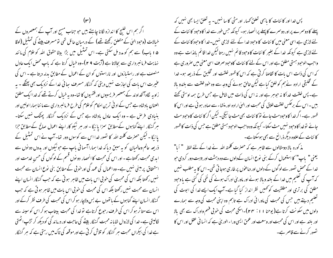اگر ہم اس خلیج کا اندازہ لگانا چاہئے بیں حو جناب مسح اور آپ کے ہمعصروں کے خبالات (وحبود الهیٰ کے متعلق رکھتے تھے) کے درمبان حائل تھی تومسر ف بیٹے کی تمثیل (لوقا ۵ ا باب) سے ہم کو مدد مل سکتی ہے۔ اس تمثیل میں بڑا بیٹا حقوق اللہ کو غلام کی مانند نہایت فرما نبر داری سے بجالاتا ہے (آیت 4 ۲)۔وہ خیال کرتا ہے کہ باپ محض ایک عادل منصف ہے اور راستیازوں اور ناراستوں کو ان کے اعمال کے مطابق بدلہ دیتا ہے ۔ اس کی عنیرت اس بات کی اجازت نہیں دیتی کہ گنہگار مسرف ہجائی غدا کے نزدیک بھی پھٹکے ۔ بہ زاویہ لگاہ آنخداوند کے ہمعصر فریسیوں اور فقہیوں کا تعا-وہ یہ خیال کرتے تھے کہ خداایک مطلق العنان بادشاہ ہے جس کے اد فی ترین احکام کوعلام کی طرح فرمانسر داری سے ما ننا ہمارا اولین اور بنیادی فرص ہے۔وہ ایک عادل بادشاہ ہے جس کے نزدیک گنہگار پھٹک نہیں سکتا۔ ہر گنہگار اپنے گناہوں کے مطابق سمزا پا ئیگا - اور ہر نیکو کار اپنے اعمال صالح کے مطابق حزا یائیگا - لیکن حصرت کلمتہ اللہ کا نصور خدا اس سے کوسوں دور تھا- آپ نے اس تمثیل کے ذریعہ عالم وعالمیان کو یہ سبق دیاکہ خدا ہمارا آسمانی باپ ہے جو نیکوں اور بدوں دو نوں سے ابدی محبت رکھتاہے ۔اور اس کی محبت کا انحصار دو نوں قسم کے لو گوں کی حسن خدمت اور استحقاق پر مبنی نہیں ہے۔ وہ اعمال کی عمد کی اور خو بی کے مطابق بنی نوع انسان سے محبت نہیں رکھتا بلکہ اس کی محبت کی خوبی اس بات میں ظاہر ہو تی ہے کہ حب گنہگار انسان اپنے انسان سے محبت نہیں رکھتا بلکہ اس کی محبت کی خوبی اس بات میں ظاہر ہو تی ہے کہ جب گنہگار انسان اپنے گناہوں کے ماتھوں بے بس ولاچار ہو کر اس کی محبت کی طرف نظر کرکے اور اس سے متاثر ہو کر اس کی طرف رحوع کرتاہے او خدا کی محبت بیتاب ہو کر اس کو سینہ سے لگالیتی ہے۔خدا کی لازوال شایا نہ محبت گنہگار بیٹے کی حاجت اور درماند گی کو دیکھ کر تڑپ اٹھتی ہے خدا کی بیکراں محبت ہر گنہگار کو تلاش کر تی ہے اور موقعہ کی تاک میں رہتی ہے کہ ہر گنہگار

پس خدا اور کا ئنات کا پاہمی تعلق محہار اور مٹی کا سا نہیں۔ یہ تعلق ایسا بھی نہیں کہ پہلے کا دوسرے پر اور دوسرے کاپہلے پرانحصار ہو۔ کیونکہ جس طور سے خدا کاوحبود کا ئنات کے یئے لازمی ہے اسی معنی میں کا ئنات کا وحبود خدا کے لئے لازمی نہیں۔خدا کا وحبود کا ئنات کے لئے لازمی ہے کیونکہ خدا کے بغیر کائنات کاوجود قائم نہیں رہتالیکن خدا قائم بالذات ہے وہ واحب الوحود ہستی مطلق ہے اور اس کے لئے کا ئنات کاوحود صرف اسی معنی میں صرور ی ہے کہ اس کی ذات اس بات کا نقاضا کرتی ہے کہ اس کا ظہور خلقت اور تخلیق کے ذریعہ ہو۔ خدا کے تخلیقی ارادہ نے ہم کو خلق کیا ہے لیکن خالق ہونے کی وجہ سے وہ خود خلقت سے بلندو بالا ہے۔ پس خلقت خدا کا نہ حبوہر ہے اور نہ اس کی ذات میں شامل ہے جس طرح ہمہ اوستی کھتے بییں ۔اس کے برعکس خلقت خلاق کی محبت اور الهیٰ ارادہ اور منشاء سے صادر ہو ئی ہے اور اس کا ظہور ہے۔اگر خدا کاوحبود مٹ جائے تو کا ئنات بھی مٹ جا ئیگی۔لیکن اگر کا ئنات کاوحبود مٹ جانے نوخدا کاوحبود نہیں مٹ سکتا۔ کیونکہ وہ واجب الوحبود ہستی مطلق ہے جس کی ذات کاظہور کا ئنات کے علاوہ دیگر ذرائع سے بھی ہوسکتا ہے۔

مذ کورہ بالا دومثالوں سے ظاہر ہے کہ حصرت کلمتہ اللہ نے خدا کے لئے لفظ " اَیا" یعنی " پاپ" کا استعمال کرکے بنی نوع انسان کےدلوں سے وہ دہشت اور بیبت دور کردی حبو خدا کے محض نصور سے لوگوں کے دلوں اور دماعوں پر طاری ہوجا تی تھی۔ اس کا یہ مطلب نہیں کہ آپ کی تعلیم میں خدا کے بلند و مالا ہونے اور ماور پیٰ ادراک ہونے کی نفی کی گئی ہے یا وحبود مطلق کی برتری اور مطلقیت کو تھیں نظر انداز کیا گیا ہے۔آپ ایک ایسے خدا کی ابوت کی تعلیم دیتے ہیں جس کی محبت کی ماورا ئی ادراک ہے تاہم وہ اپنی محبت کی وجہ سے ہمارے دلوں میں سکونت کرتا ہے( یوحنا ۱۱: ۲۴)۔اسکی محبت کی خوبی فہم وادراک سے بھی بالا اور بلند ہے اور اس کی محبت اور وسعت اور عممق ایسی وراء الور میٰ ہے کہ انسا فی عقل اور اس کا تصور کرنے سے قاصر ہے۔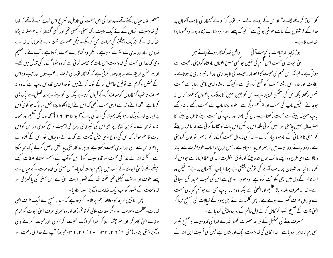ہمعصر علط خیال رکھتے تھے۔ وہ خدا کی اس صفت کی تاویل وتسٹرنج اس طور پر کرتے تھے کہ خدا کی قدوسیت انسان کے لئے ایک بیبت ناک معنی رکھتی تھی اور کسی گنہگار کو بہ حوصلہ نہ پڑتا تھا کہ خدا کے نزدیک پھٹکنے کی حرات بھی کرسکے۔لیکن حصرت کلمتہ اللہ نے فرما یا کہ خدائے قدوس گناہ اور بدی سے نفرت کرتاہے ۔لیکن وہ گنہگار سےمحبت رکھتا ہے ۔آپ نے بیر تعلیم دی کہ خدا کی محبت کی قدوسیت اس بات کا تقاصہ کرتی ہے کہ وہ حود گنہگار کی تلاش میں نکلے۔ اور ہر ممکن طریقہ سے یہ جدوجہد کرتی ہے کہ گنہٗگار توبہ کی طرف راعنب ہوں اور جب وہ اس کے فصل و کرم سے توفیق حاصل کرکے توبہ کرتے ہیں تو غدا ایس قدوس باپ ہے کہ وہ نہ صرف تا سَب گنہگاروں کومعاف کرکے قسول کرتاہے بلکہ ان کواپنے بے حد فضل سے پاک بھی کرتا ہے ۔"خدا نے د نیا سے ایسی محبت رکھی کہ اس نے اپنااکلوتا بیٹا بخش دیا تا کہ حو کوئی اس پر ایمان لائے ہلاک نہ ہو بلکہ ہمیشہ کی زند گی پائے"( یوحنا سین ۱۶۱) آنخداوند کی تعلیم اور نمونہ نہ ید ترین سے بد ترین گنہگار پر بھی اس کی عنیر فا فی روح کی اہمیت واضح کردی اور اس کو اس بات کا علم ہو گیا کہ اس کی روح ایسی بیش قیمت ہے کہ خدائے دوجہان خود اس کے گناہ کے یاوحبود اس سے ازلی اور ابدی محبت رکھتا ہے اور ہر بد کار نئی پیدائش حاصل کرکے پاک بن سکتا ہے ۔ کلمتہ اللہ نے غدا کی محبت اور قدوسیت کو ( حن کو آپ کے ہمعصر متضاد صفات سمجھے بیٹھے تھے (الہیٰ ابوت کے تصور میں باہم پیوستہ کردیا۔ جس ہستی کی قدوسیت کے خیال سے بیہلے خوف اور دہشت ٹیکتی تھی کلمتہ اللہ کے تصور ابوت الهیٰ نے اس ہستی کی پاکیز گی اور قدوسیت کے نصور کواب ایک نہایت دلآویز نصور بنادیا۔

پس اناجیل اربعہ کا مطالعہ ہم پر ظاہر کردیتاہے کہ سید نا مسح نے ایک طرف الہیٰ قدرت وعظمت وجلالت اور دیگر صفات جلالی کو قائم رکھا اور دوسمری طرف الهیٰ ا بوت کو تمام صفات الهیٰ کامر کز اور سمر چشمہ بناکر خدا کو ایک محبت کرنیوالی اور محبت کرانے والی دلآویز ہستی بنادیا(متی ۲۰: ۲۲، ۲۲، ۲۰- ۱۰: ۲۹، اسلوعنیرہ) آپ نے خدا کی رفعت اور

کو " دوڑ کر گلے لگالے" او اس کے بوسے لے۔"ہر توبہ کرنیوالے گنہگار کی بابت آسمان پر خدا کے فرشتوں کے سامنے خوشی ہو تی ہے" کیونکہ پہلے "وہ مردہ تھا اب زندہ ہوا۔ وہ کھو ہا ہوا تھااپ ملاہے۔"

دوڑازابد کہ قیامت یہ قیامت آئی ہے ۔ داخل خلد گنہگار ہوئے جاتے ہیں الهیٰ ابوت کی محبت اس قسم کی نہیں حو کسی مطلق العنان بادشاہ کوا پنی رعیت سے ہو تی ہے۔ کیونکہ اس قسم کی محبت کاانحصار رعیت کی تا بعداری اور فرمانسر داری پر ہوتاہے۔ بغاوت اور غدر اس رشتہ محبت کو قطع کردیتی ہے۔کیونکہ پادشاہ اپنی باعی رعایا سے محبت نہیں رکھتا بلکہ اس کی بیٹکنی کردیتا ہے۔ اس کو چین نہیں آتا جبتک پاغیوں کا کلیتہً ناس نہ ہوجائے - لیکن پاپ کی محبت اور ازقسم دیگر ہے۔ خواہ بیٹا پاپ سے محبت رکھے یا نہ رکھے باپ ہمیشہ بیٹے سے محبت رکھتا ہے۔ ماں کی مامتا اور پاپ کی محبت پنے نا فرمان بیٹے کا استیصال نہیں چاہتی اور نہیں کر تی بلکہ اس برعکس اس بات کا تقاضا کر تی ہے کہ نا فرمان پیٹے کو اسکی نا فرما ٹی کے ماوجود پبار کرے - خدا کی لازوال محبت گنہگار کو از سمر ۔نو بحال کردیتی ہے۔وہ د نیائےروحانیت میں از سمر نو پیدا ہوجاتا ہے۔جس طرح خدا پاپ خود فطرت سے بلند و مالا ہے اسی طرح وہ اپنے تا سَب بحال شدہ بیٹے کو مافوق الفطرت زند کی عطا فرماتا ہے حبواس کو گناہ ، د نیا اور شیطان پر غالب آنے کی توفیق بخشتی ہے ہمارا پاپ" آسمان پر ہے" گیکن وہ ایماندار کے دل میں بھی سکو نت کرتاہے۔ وہ حبودراالوریٰ ہے اس کی محبت محیط کل ہوجا تی ہے۔ خدا نہ صرف بلند و بالا عظیم اور العلیٰ ہے بلکہ وہ ہمارا پاپ بھی ہے حو ہم کو ازلی محبت سے چاروں طرف گھیرے ہوئے ہے۔ پس کلمتہ اللہ نے اہل یہود کےخیالات کی تصحیح فرما کر الہیٰ ذات کے صبحیح تصور کو کامل کرکے اہل عالم کے رو برو پبیش کردیا ہے۔ مسر ف بیٹے کی تمثیل کے ذریعہ حصرت کلمتہ اللہ نے خدا کی قدوسیت کاصحیح تصور بھی ہم پر ظاہر کردیاہے۔خدا تعالیٰ کی قدوسیت ایک اورمثال ہے جس کی نسبت ابن اللہ کے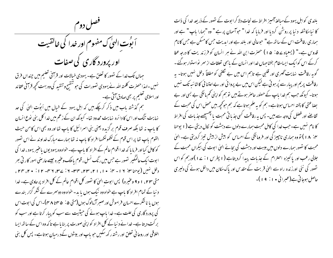فصل دوم ۔<br>اَبوُتِ الهیٰ کِ مفهومِ اور خدا کی خالقیت اور پرورد گاری کی صفات جہاں تک *خد*ا کے تصور کا تعلق ہے۔ یہودی خیالات اور قرآنی تعلیم میں چنداں فرق نہیں ۔اہذاحصرت کلمتہ اللہ نے یہودی تصورات کی حو تنقسح وتنقید کی وہ بہت کحچھ قرآنی عقائد اور اسلامی تعلیم پر بھی صادق آتی ہے۔ ہم گذشتہ باب میں ذکر کرچکے ہیں کہ اہل یہود کے خیال میں اَبوُت الٰہِیٰ کی حد نہایت تنگ اور اس کا دائرہ نہایت محدود تھا۔ کیونکہ ان کے زعم میں خدا کل بنی نوع انسان کا پاپ نہ تھا بلکہ صرف قوم بر گزیدہ یعنی بنی اسرائیل کا پاپ تھا اور وہ بھی اس کا من حیث القوم باپ تھا پر اس قوم کے لکھولکھہا افراد کا باپ نہ تھا ہمارے مبارک خداوند نے اس تصور کو کامل کیا اور فرما یا کہ خدا اقوام عالم کے افراد کا باپ ہے۔ خواہ وہ یہودیوں باعنیر یہود ، خدا کی ابوت ایک عالمگیر تصور ہے جس میں رنگ نسل ، قوم یاملک وعنیرہ جیسے عارضی امور کار تی بھر دخل نهيں (يوجناس: ١٦ - ٣]. • ١، ١٦، ٣٣، ٣٣- ١: ٢٣، ٢٣- ١١: • ٣، ٣٣، متی ۲۳، ۱ و۹ وعنیره) پس ابوت الهیٰ کا نصور کل اقوام عالم کے کل افراد پر حاوی ہے۔خدا د نیا کے تمام افراد کا باپ ہے خواہ وہ نیک ہوں یا بد۔ خواہ وہ دوسرے کے شکر گزار بندے ہوں یا ناشکرے احسان فراموش اور صبر آزمالوگ ہوں(متی ۵ : ۵ ہم تا ۴۸ )۔اس کی ابوت اس کی پرورد گاری کی علت ہے۔ خدا پاپ ہونے کی حیثیت سے سب کو پیار کرتا ہے اور سب کو بر کت دیتا ہے۔خدا نے د نیا کے کل افراد کواپنی صورت پر بنایا ہے تاکہ وہ اس کے ساتھ ایسا اخلاقی اور روحا فی تعلق اور رشتہ رکھ سکیں حو پاپ اور بیٹوں کےد رمیان ہوتاہے۔ پس کل بنی

بلندی کواہل یہود کےمبالغہ آمیز افراط سے نجات دلا کرا بوت کے تصور کے ذریعہ خدا کی ذات کا نیا مکاشفہ دنیا پر روشن کردیا اور فرمایا کہ خدا" حواسمان پر ہے " وہ "ہمارا باپ " ہے اور ہماری رفاقت اس کے ساتھ ہے" حبوعالی اور بلند ہے اور ایدیت حس کامسکن ہے حس کا نام قدوس ہے۔" (یسعیاہ ے ۵: ۵ ) مصرت ابن اللہ نے ہر انسان کو فرزندیت کا درجہ عطا کرکے اس کوایک ایسامقام بخشاجہاں خدااور انسان کے باہمی تعلقات از سمر نواستوار ہوگئے۔ گو پہ رفاقت نہایت گھری اور قلبی ہے تاہم اس میں بے گکفی کو مطلقاً دخل نہیں ہوتا۔ یہ رفاقت پریم اور پیار سے پُر ہو تی ہے لیکن اس میں بے پروا ئی اور بے اعتنا ئی کا شائبہ تک نہیں ہوتا۔ کیونکہ جب ہم خدا باپ کے حصنور حاصر ہوتے ہیں تو ہم کواپنی کم مائگی بے بسی اور بے بضا عتی کا پختہ احساس ہو تاہے۔ ہم کو یہ علم ہوتا ہے کہ ہم حوکحچہ بیں محض اس کی محبت کے تقاضے اور فصل کی وجہ سے ہیں۔ پس یہ رفاقت کسی جذباتی محبت یا پھسپھے جذبات کی افراط کا نام نہیں ہے۔جب خدا کی کامل محبت ہمارے دلوں سے دہشت کو نکال دیتی ہے ( ۱ یوحنا ۴. ۱۸) نو وہ ہماری ناچیز کی اور فرومانگی کے احساس کو بیش از بیش تیز کردیتی ہے۔ الہٰی محبت کا نصور ہمارے دلوں میں بیبت اور دہشت کی بجائے الہیٰ ابوت کی بیکراں محبت کے جلالی رعب اور یا کیزہ احترام کے جذبات پیدا کردیتاہے (۱ پطرس ۱ : ۲ )اورہم کو اس تصور کی نئی اورز ندہ راہ سے الہیٰ قربت کے مقدس اور پاک مکان میں داخل ہونے کی دلیری حاصل ہوجاتی ہے(عبرانی • ۱ : ۹ )۔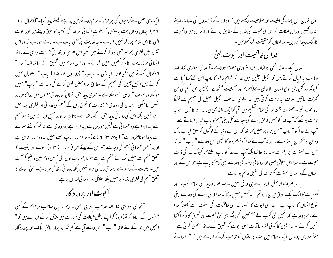ایک ہی اصل سے آدمیوں کی ہر قوم کو تمام روئے زمین پر رہنے کیلئے پیدا کیا۔"(اعمال پے ۱ : ۲ ۲ )- یہاں وہ ان بت پرستوں کواخوت انسانی اور خدا کی توحید کا سبق دیتے ہیں اور ابوت الهیٰ کا اس مقام پر ذکر نہیں فرماتے - یہ نہایت پرُمعنی بات ہے - جائے عوٰر ہے کہ وہ اس تقریر میں فطری ہم سرشتی کا ذکر کرتے ہیں لیکن اس فطری اور قدر تی قرابت داری کے ساتھ انسانی فرزندیت کا ذکر ٹھمیں نہیں کرتے - اور اس مقام میں تخلیق کے ساتھ لفظ" خدا " استعمال کرتے ہیں لیکن لفظ" ایا یعنی اے باپ" (رومیوں ۸: ۵ )"باپ" استعمال نہیں کرتے پس انجیل جلیل کی تعلیم کے مطابق خدا محض خلق کرنے کی وجہ سے " باپ" نہیں ہوسکتا وہ صرف " خالق " ہوسکتا ہے ۔ فطری پبدائش انسان کوروحانی معنوں میں خدا کا فرزند نہیں بنا سکتی ۔انسان کی روحا فی فرزندیت کا تعلق اس کے جسم کی قدر تی اور فطری پیدائش سے نہیں بلکہ اس کی روحا فی پیدائش کےساتھ ہے۔ چنانچہ خداوند مسح فرماتے ہیں : حوحبم سے پیدا ہوا ہے وہ حسما فی ہے لیکن حوروح سے پیدا ہوا ہے وہ روحا فی ہے نہ تم کو نئے سمرے سے پیدا ہوناصرور ہے" (یوحنا ۶۰ تا ۷ے)۔ خدا ہمارا پاپ اسلئے نہیں کہ وہ ہمارا خالق ہے اور نہ محض حسمانی حجسم کی وجہ سے ہم اس کے بیٹے بیں (یوحنا ۱ : ۱۳ ) ابوت اور ابنیت کا تعلق جنم سے نہیں بلکہ نئے جنم سے ہے جیسا ہم باب اول کی فصل دوم میں واضح کر آئے بیں۔ ابنیت کے رشتہ سے حسما فی زند کی مراد نہیں بلکہ روحا فی زند کی مراد ہے۔ الہیٰ ابوت کا تعلق حبهم کی فطر ی بنیاد پر نهیں بلکہ اخلاقی اور روحا نی اساس پر ہے۔ اً بوُت اور پرورد گار

آنجہانی مولوی ثناء اللہ صاحب پادری ایس - ایم - پال صاحب مرحوم کے کسی مصنمون کے الفاظ کو نوڑ مروڑ کر اپنے باطل خیالات کی حمایت میں پیش کرکے فرماتے بیں کہ" انجیل میں خدا کے لئے لفظ " اب " اس واسطے آیا ہے کیونکہ وہ ہمارا خالق ، مالک اور پرورد گار نوع انسان اس بات کی اہلیت اور صلاحیت رکھتے ہیں کہ وہ خدا کے فرز ندوں کی صفات اپنے اندر رکھیں اور ان صفات کو اس کی محبت کی شان کےمطابق بروئے کار لاکر ان میں واقعیت کارنگ پیدا کردیں- اور امکان کو حقیقت کرد کھلائیں-

## خدا کی خالقیت اور اَ بوت الهیٰ

یہاں ایک علط قہمی کا ازالہ کرنا صروری معلوم ہوتاہے۔آنجہانی مولوی ثناء اللہ صاحب یہ خیال کرتے بیں کہ انجیل جلیل میں خدا کو اقوام عالم کا باپ اس لئے کہا گیا ہے کیونکہ وہ کل بنی نوع انسان کا خالق ہے(اسلام اور مسیحیت صفحہ سے ا) کیکن اس قسم کی من تحھڑت باتیں صرف یہ ثابت کرتی بیں کہ مولوی صاحب انجیل جلیل کی تعلیم سے قطعاً ناواقف تھے۔حصرت کلمتہ اللہ کی تمام تعلیم میں تم کوایک لفظ بھی ایسا نہ ملے گا جس سے پہ ثابت ہوسکے کہ آپ خدا کومحض خالق ہونے کی وجہ سے کل بنی آدم کا باپ خیال فرماتے تھے ۔ آپ نے خدا کو " پاپ "اس بناء پر نہیں کہا تھا کہ اس نے دِ نبا کے لوگوں کوخلق کباہے پا کہ وہ ان کا صحمران بادشاہ ہے۔ اور نہ آپ نے غدا کو قوم یہود کا کبھی اس وجہ سے " باپ "سمہا کہ اس نے حصرت ابراہم سے عہد یا ندھا تھا بلکہ آپ نے خدا کو باپ اسلیٰ کہا کیونکہ خدا کی ذات محبت ہے۔خدا اس اخلاقی تعلق اور روحا فی رشتہ کی وجہ سے بنی آدم کا باپ ہے حبواس کے اور انسان کے درمیان حصرت کلمتہ اللہ کی طفیل قائم ہوگیا ہے۔

یہ امر صرف اناجیل اربعہ سے ہی واضح نہیں ہے۔ عہد جدید کی تمام کتب اور کمنوبات کا ایک ایک ورق حیان مارو تم کو به تھمیں نہیں ملیگا کہ خدا خالق ہونے کی وجہ سے بنی نوع انسان کا پاپ ہے ۔ خدا کی ابوت کا نصور خدا کی خالقیت کی صفت سے کلیتہؐ جُدا ہے۔ یہی وجہ ہے کہ انجیل کی کتب کے مصنفین کسی جگہ بھی الهٰی محبت اور تخلیق کا ذکر اکٹھا نہیں کرتے اور نہ انجیل کا کوئی فقرہ یا <sub>ای</sub>ت ا<sub>ل</sub>یٰ ابوت کو تخلیق کے ساتھ متعلق کرتی ہے۔ مثلاً مقدس پولوس ایک مقام میں بت پرستوں کو مخاطب کرکے فرماتے ہیں کہ " خدا نے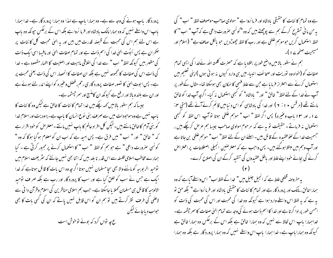ہے وہ تمام کا ئنات کا حقیقی بادشاہ اور فرما نروا ہے " مولوی صاحب موصوف لفظ " اب " کی یہ من مانی تسٹرنح کرکے ہم سے پوچھتے ہیں کہ وہ "کونسی صرورت داعی ہے کہ آپ " اب " کا لفظ استعمال کریں حبوموہم غلطی ہے اور رب کا لفظ چھوڑ دیں حبو پالکل صاف ہے" (اسلام اور مسیحیت صفحہ ۱۷ )-

ہم نے سطور بالا میں واضح طور پر بتلادیا ہے کہ حصرت کلمتہ اللہ نےخدا کی ایسی تمام صفات کو (خواہ وہ نوریت اور صحائف انبیاء میں ہی وارد کیوں نہ ہوئی ہوں )اپنی تعلیم میں استعمال کرنے سے احتراز فرما یا ہے حبن سے علط فہمی کا امکان بھی ہوسکتا تھا۔ مثال کےطور پر آپ نے خدا کے لئے لفظ " خالق " اور " یادشاہ" کو کسجی استعمال نہ کیا- اگرچہ آپ خدا کو خالق مانتے تھے (مرقس • ۱ : ۲ ) اور خدا کی بادشاہی کواس دنیامیں قائم کرنے آئے تھے (متی ۴: ے ا ، اور ١٣ ا ماب وعنیرہ) پس اگر لفظ " اب " موہم علطی ہوتا تو آپ اس لفظ کو کہجی استعمال نہ فرماتے ۔حقیقت تو ہہ ہے کہ مرحوم مولوی صاحب جیسا ہم عرص کرچکے ہیں ، جسمیت خدا کے لغوعقبیدہ کے قائل بیں۔اسلئےان کے لئے لفظ" اب " موہم غلطی بن جاتا ہے اور آپ وہم میں مبتلا ہوگئے ہیں۔ پس واحب ہے کہ معتر صنین انجیلی اصطلاحات پر اعتراض کرنے کی بجائے خود اپنے علط اور باطل عقیدوں کی تنقید کرکے ان کی اصلاح کرے۔

یہ مفروصہ قطعی علط ہے کہ انجیل جلیل میں " خدا کے لفظ اب" اس واسطے آیا ہے کہ وہ ہماراخالق ،مالک اور پرورد گار ہے اور تمام کا ئنات کا حقیقی یادشاہ اور فرما نروا ہے" بلکہ حق نو بہ ہے کہ بہ لفظ اس واسطے وارد ہوا ہے کیونکہ وہ خدا کی محبت اور اس کی محبت کی ذات کو احسن طور پر ادا کرتا ہے اور خدا کا اسم ذات ہونے کی وجہ سے تمام الهیٰ صفات کا سمر چشمہ ہے۔ خداہمارا پاپ اس لحاظ سے نہیں کہ وہ ہمارا خالق ہے بلکہ اس کے برعکس وہ ہمارا خالق ہے کیونکہ وہ ہمارا ماپ ہے۔ خدا ہمارا پاپ اس واسطے نہیں کہ وہ ہمارا پرورد گار ہے بلکہ وہ ہمارا

پرورد گار ماپ ہونے کی وجہ سے ہے۔ وہ ہمارا باپ ہے لہذا وہ ہمارا پرورد گار ہے۔ خدا ہمارا باپ اس واسطے نہیں کہ وہ ہمارامالک بادشاہ اور فرما نروا ہے بلکہ اس کے برعکس حیونکہ وہ باپ ہے اس لئے ہم اس کی محبت کے قبصنہ قدرت میں بیں اور یہ الہیٰ محبت کل کائنات پر حکمر ان ہے پس اَبوُت الهیٰ خدا کی اسم ذات ہے اور تمام صفات الهیٰ اور مافیہا اسی ایک ذات کی مظہر بیں کیونکہ لفظ" اب " سے خدا کی اخلاقی ماہیت اور اصلیت کا اظہار مقصود ہے ۔ خدا کی ذات اس کی صفات کا مجموعہ نہیں ہے بلکہ ان صفات کا انحصار اس کی ذات یعنی محبت پر ہے۔ پس ابوت الہیٰ کا تصور صفات پرورد گار ی رحم، فصل وعنیرہ کو اپنے اندر لئے ہوئے ہے اور ان سے بلند و بالا اور ارفع ہے کیونکہ ان کامنسج اور سمر جیشمہ ہے۔

جیسا کہ ہم سطور بالامیں کہہ چکے بیں خدا تمام کا ئنات کا خالق ہے لیکن وہ کا ئنات کا باپ نہیں ہے وہ موحودات میں سے صرف بنی نوع انسان کا باپ ہے۔ یہودیت اور اسلام خدا کو بنی آدم کاخالق مانتے ہیں۔لیکن کل افراد عالم کا باپ نہیں مانتے۔معتر مس کو خود اقرار ہے کہ " خالق " اور " اب " میں فرق ہے۔ پس امید ہے کہ اب ان کو معلوم ہوگیا ہوگا کہ وہ " کونسی صرورت داعی " ہے حوہم کو لفظ " اب " کا استعمال کرنے پر مجبور کرتی ہے ۔ کیا ہمارے مخاطب اسلامی فلسفہ سے اس قدر نا بلد بیں کہ اتنا بھی نہیں جانتے کہ سٹریعت اسلام میں توحید الربوبیہ کو ماننے والا بھی سجا مسلمان نہیں ہوتا اگر چہ وہ اس بات کا قائل ہوتاہے کہ خدا ایک ہے جس نے سب کو خلق کیا ہے اور سب کا پرورد گار اور رب ہے بلکہ صر ف نوحید الالوہیہ کا قائل ہی مسلمان کھلا یا جاسکتا ہے۔ جب ہم اسلامی مناظرین کی اسلام وقرآن دا فی سے لاعلمی کی طرف نظر کرتے ہیں تو ہم ان کو اس قابل نہیں یاتے کہ ان کی گسی بات کا بھی حواب دیاجائے کیکن ع چہ تواں کرد کہ بوئے توخوش است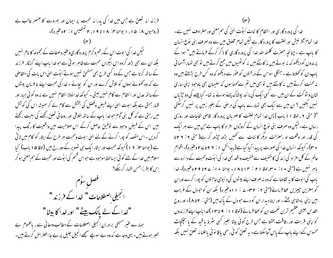فرزند انہ تعلق ہے جس میں خدا کی پدرانہ محبت پر ایمان اور بھروسے کا عنصر غالب ہے (رومیوں ۸: ۱۵، ایوحنایق: ۱۸ا تا ۱۹، ۲ تمتعیس ۱: ۲ وغیرہ)۔

گیکن خدا کی ابوت اس کے رحم و کرم پرورد گاری وعنیر ہ صفات کے مجموعہ کا نام نہیں بلکہ ان سے بھی بڑھ کروہ اس بیکراں محبت سے ظاہر ہو تی ہے حوخدا پاپ اپنے گنہگار فرزند کے ساتھ کرتا ہے جس کے وہ کسی طرح بھی مستحق نہیں ہوتے اَبوُت الہیٰ اس بات کی متقاضی ہے کہ وہ کھونے ہوؤں کو تلاش کرے اور ان کو بجائے ۔ خدا کی محبت اپنے نا فرمان بیٹوں کےساتھ عدل اور انتقام سے کام نہیں لیتی ۔ کیونکہ خدا ذولاا نتقام نہیں ہے نہ وہ کوئی جبار اور قہار ہستی ہے بلکہ ابوت الہیٰ اپنے فیصِ وفصل کی بخشش سے کام لے کر ہمیشہ اس کی کوشش میں رہتی ہے کہ کل بنی آدم حوضدا پاپ کے ساتھ اخلاقی اور روحانی تعلق رکھنے کی اہلیت رکھتے بیں اس کے فیض وجود سے توفیق حاصل کرکے اس صلاحیت میں واقعیت کا رنگ پیدا کردیں - اس مقصد کو پورا کرنے کے لئے الهیٰ ابوت ومحبت ہر طرح کے ایثار کو کام میں لاقی ہے ( یوحنا ۲۰ : ۱۹ ) کیونکہ محبت اور ایثار ایک ہی تصویر کے دور رخ بیں (لوقا ۵ ا باب) کیا اسلام میں خدا کے لئے کو ئی ایسالفظ موحبود ہے حبواس قسم کی اَ بوُت اور محبت کے ہم معنی ہو کر اس کا بطرز احسن اظہار کرک**ے**؟

فصل سوم انجیلی اصطلاحات " خدا کے فرز ند " "خدا کے لے پالک بیٹے" اور خدا کا بیٹا" ہمارے عنیر مسیحی برادران انجیلی اصطلاحات کے مطالب ومعانی سے ، بالعموم بے خبر ہوتے ہیں۔ یہی وجہ ہے کہ وہ بے سوچے سمجھے انجیل جلیل پر بے جااعتراض کرتے ہیں۔

خدا کی پرورد گار ی اور انتظام کا ئنات اَبوُت الهیٰ کی ہم معنی اور مترادف نہیں ہے۔ خدا تمام آفر نیش اور خلقت کا پرورد گار ہے لیکن تمام مخلوق میں سے وہ صرف بنی نوع انسان کا پاپ ہے ۔چنانچہ حصرت کلمتہ اللہ خدا کی پرورد گاری کا ذکر کرکے فرماتے ہیں" ہوا کے پرندوں کودیکھو کہ نہ بوتے ہیں نہ کاٹتے ہیں نہ کو ٹھیوں میں جمع کرتے ہیں تو بھی تہاراآسما فی باپ ان کو کھلاتا ہے ۔ جنگلی سوسن کے درختوں کو عور سے دیکھو کہ وہ کس طرح بڑھتے ہیں وہ نہ محنت کرتے ہیں نہ کاتتے ہیں تو بھی میں تم سے کھتا ہوں کہ سلیمان بھی ماوجود اپنی ساری شان وسٹو کت کے ان میں سے کسی ایک کی ما نند پوشاک پہنے ہوئے نہ تھا۔ کیا پہنے کی دو حیڑیاں نہیں بکتیں ؟ ان میں سے ایک بھی تہارے باپ کی مرحنی کے بغیر زمین پر نہیں گرسکتی "( متى ٢، لوقا ١١ باب ) پس خدا تمام خلقت كا مهربان پروردگار قاصى الحاجات اور روزى رساں ہے۔لیکن وہ صرف بنی نوع انسان کے کروڑوں افراد کا باپ ہے جن میں سے ہر ایک کی قدر اور وقعت او رمنزلت دیگر کائنات سے ٹھمیں بڑھ چڑھ کر ہے( متی ۲: ۲۶تا + ٢٠)۔ کیونکہ انسان خدا کی صورت پر پیدا کیا گیا ہے(پیدائش ۱ : ٢ ٢ تا ٢ وعنیرہ)۔ اقوام عالم کے کل افراد کی زند گی کاخفیف سے خفیف واقعہ بھی خدا کی اَبوُت ومحبت کے دائرہ سے باہر نہیں ہے (متی ٭۱٪ ٭سی لوقا ۲۱ ٪ ۱۴ا تا ۱۸۔ یوحنا ٭۱٪ ۲۶ تا ۲۹وغیرہ)۔ خدا باپ کی ابوت کا بہ تقاضا ہے کہ وہ نہ صرف اپنے بیٹول کی د نیوی حاجتوں کو پورا کرے اوران کو بہترین چیزیں عطا فرمائے (متی ۲: ۳۲-۲۰ نے ۱۱وغیرہ) بلکہ ان کو حودل کے غریب بییں اپنی یادشاہی بخشے۔ اور اپنا دیدار ان کو دے حبو دل کے پاک بیں (متی : ۲ تا ۸)۔ اور روح القدس جيسي عظيم ترين نعمت ان كوعطا فرمائے(لوقا ١١: ٩ تا ١٣) فدا باپ اپنے فرزندوں کو اپنی قربت اور رفاقت بخشتا ہے جس طرح کوئی بیٹا بغیر کسی سٹرط یا قید کے یا بچچکاٹ محسوس کئے اپنے ماپ کے پاس آجاسکتا ہے۔ یہ تعلق کوئی رسمی یا قا نو ٹی باعلاما نہ تعلق نہیں بلکہ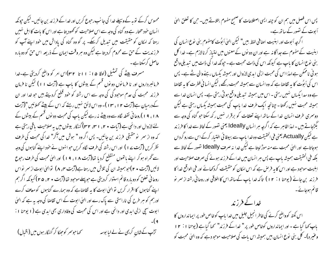محسوس کرکے نوبہ کے وسیلے خدا کی جانب رحبوع کریں اور خدا کے فرزند بن جائیں۔لیکن حیونکہ انسان خود مختار ہے وہ گناہ کی وجہ سے اس صلاحیت کو تھود بتا ہے اور اس کا بات کا اہل نہیں رہتا کہ امکان کو حقیقت میں تبدیل کرسکے۔ پر گو وہ گناہ کی یاداش میں خود اپنے آپ کو فرزندیت کے حن سے محروم کردیتا ہے لیکن وہ ہر وقت ایمان کے ذریعہ اس حن کو دو مارہ حاصل کرسکتا ہے۔

مسرف بیٹے کی تمثیل (لوقا ۱۵: ۱۱ تا ۳۲)اس امر کو واضح کردیتی ہے۔خدا فرمانبرداروں اور نا فرمانوں دو نوں قسم کے بیٹوں کا باپ ہے (آیت ۱۱) لیکن نا فرمان فرزند محبت کی عدم موجود کی کی وجہ سے اس رشتہ کو حود قطع کردیتے ہیں جو خدا اور ان کےدرمیان ہے(آیت ۲ ا ، ۱۳ )۔ وہ اس لائق نہیں رہتے کہ اس کے بیٹے تھلائیں "(آیت ۱۸، ۱۹) روحا نی نقطہ لگاہ سے وہ بیٹے نہ رہے لیکن پاپ کی محبت دو نوں قسم کے بیٹوں کے لئے لازوال اور دائمی ہے (آیات • ۲، ۱ سی ۲۳) گنہگار بیٹوں میں بہ صلاحیت یاقی رہتی ہے کہ وہ از سمر نو حقیقی فر زند بن جائیں۔ پس اگر وہ " ہوش میں آگر" خدا کی محبت کی طرف نظر کریں (آیت پے ۱ ) اور اس رشتہ کی طرف لگاہ کریں حواہنوں نے خود اپنے گناہوں کی وجہ سے گھراہ ہو کر اپنے باتھوں منقطع کردیا تھا(آیت ۱۸، ۱۹) اور الہٰی محبت کی طرف رحوع لائیں (آیت • ۲)حبو ہمیشہ ان کی تلاش میں رہتا ہے(آیت میں ۸) توالیٰ ابوت از سرِ نواس روحا فی تعلق کو دو بارہ قائم استوار کردیتی ہے حبو پہلے موحبود تھا (آیت • ۲، ۴۵) کیونکہ اگر ہم اپنے گناہوں کا اقرار کریں تو الہٰیٰ ابوت کا یہ تقاضاہے کہ وہ ہمارے گناہوں کو معاف کرے اور ہم کو ہر طرح کی ناراستی سے پاک رے اور الہیٰ ابوت کے اس تقاضا کی وجہ بہ ہے کہ الہیٰ ابوت سچی ازلی ابدی اور دائمی ہے اور اس کی محبت کی وفاداری بھی ابدی ہے ( ا یوحنا ۱ :

<sub>ى</sub>مماجوسمر كوجھكا كر گن<sub>ىڭ</sub>لا بىون مىن (اقبال) تڑپ کے شان کریمی نے لے لیا بوسہ

پس اس فصل میں ہم ان کو چند ایسی اصطلاحات کا صحیح مفهوم بتلاتے ہیں۔حن کا تعلق الهیٰ اَبوت کے تصور کے ساتھ ہے۔ ا گرجه اَبوت اور ابنیت اصافی لفظ بیں" لیکن الهیٰ اَبوُت کامفهوم بنی نوع انسان کی ابنیت کے مفہوم سے جداگا نہ ہے اور ان دو نوں کے معنوں میں امتیاز کرنالازم ہے۔ خدا کل بنی نوع انسان کا پاپ ہے کیونکہ اس کی ذات محبت ہے ۔حیونکہ خدا کی ذات میں تبدیلی واقع ہو فی ناممکن ہے لہذا اس کی محبت ازلی ایدی لازوال اور ہمیشہ پکساں رہنے والی شے ہے۔ پس اس کی اَبوُت کا بہ تقاضا ہے کہ وہ انسان سے ہمیشہ محبت رکھے ، لیکن انسا فی فطرت کا بہ تقاضا ہے وہ سدا پکساں نہیں رہتی ۔ اس میں ہمیشہ تیدیلی واقع ہو تی رہتی ہے۔ پس انسان خدا سے ہمیشہ محبت نہیں رکھتا۔چنانچہ ایک طرف خدا پاپ کی محبت ہمیشہ یکساں رہتی ہے لیکن دوسری طرف انسان خدا کے ساتھ اپنے تعلقات کو برقرار نہیں رکھ سکتا حو گناہ کی وجہ سے گجگڑجاتے بیں ۔ لہذا ظاہر ہے کہ اگرچہ ہر انسان Ideally یعنی نصور کے لحاظ سے خدا کا فرزند ہے لیکن Actually یعنی فی الحقیقت وہ خدا پاپ سے بیوفا ئی اختیار کرکے اس سے رو گرداں ہوجاتاہے اور الہٰیٰ محبت سے منہ موڑ لیتا ہے لیکن خدا نہ صرف Ideally تصور کے لحاظ سے بلکہ فی الحقیقت ہمیشہ پاپ ہے پس ہر انسان میں خدا کے فرز ند ہونے کی صرف صلاحیت اور اہلیت موحود ہے اور اس کا یہ فر ص ہے کہ اس امکان کو حقیقت کردکھانے اور فی الواقع خدا کا فرزند<sub>،</sub> بن جائے (یوحنا ۱ : ۱ ) تاکہ خدا باپ کےساتھ اس کا اخلاقی اور روحانی رشتہ از سمر نو قائم ہوجائے۔

خدا کے فرزند

اس نکتہ کوواضح کرنے کی خاطر انجیل جلیل میں خدا پاپ کوخاص طور پر ایما نداروں کا باپ کہا گیا ہے ۔ اور ایمانداروں کوخاص طور پر " خدا کے فرزند" کہا گیا ہے ( یوحنا ۱ : ۲ ا وعنیرہ)۔ کل بنی نوع انسان بیں ہمیشہ اس بات کی صلاحیت موجو دہے کہ وہ الہیٰ محبت کو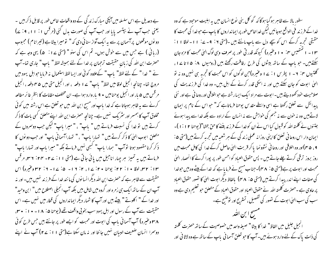بے دعدیل ہے اس سلسلہ میں آپکی مبارک زند گی کے دو واقعات خاص طور پر قابل ذکر بیں ۔ یعنی حب آپ نے بپتسمہ پایا اور حب آپ کی صورت بدل گئی (مرقس ۱۱، ۱۱، ۹، ۷) دونوں موقعوں پرآسمان پر سے یہ ایک آواز سنائی دی کہ" تومیرا بیٹاہے (تیرانام) مجبوب (ریانی ) ہے جس میں سے خوش ہوں۔ تم اس کی سنو " (متی ۲۱ : ۵) یہی و*جہ ہے* کہ حصرت ابن اللہ کی زبانِ حقیقت ترحمان پر خدا کے لئے ہمیشہ لفظ " پاپ " جاری تعا- آپ نے " خدا " کے لئے لفظ" پاپ " کےعلاوہ کوئی اور ایسا لفظ استعمال نہ فرما یا حبوابل یہود میں مروج تھا۔ چنانچہ انجیل لوقا میں لفظ" پاپ" ہے ا دفعہ ، اور انجیل متی میں ۴۵ دفعہ ، انجیل مر قس میں ۵ بار اور انجیل یوحنامیں • ۹ بار وارد ہوا ہے۔ ان مختلف مقامات کا بنظرِ غائر مطالعہ کرنے سے بہ ظاہر ہوجاتا ہے کہ خدا پاپ اور مسح ابن اللہ میں حو تعلق ہے اس رشتہ میں کوئی مخلوق آپ کا ہمسر اور سٹریک نہیں ہے۔چنانچہ حصرت ابن اللہ اپنے متعلق کسی بات کا ذکر کرتے ہیں تو خدا کی نسبت فرماتے ہیں " پاپ" ، " میرا باپ" لیکن جب دوسروں کے متعلق ابوب الهي كا ذكر كرتے ہيں " تہارِا باپ" ، " تہاراآسما في باپ" اور جب دو نوں كا ذ کر کرنا مقصود ہوتا توآپ " ہمارا ماپ" گہجی نہیں فرماتے بلکہ " میرا ماپ اور تہارا ماپ" فرماتے ہیں یہ تمیز ہر چہار اناجیل میں یائی جاتی ہے (متی ۱۱: ۲۷- ۲۳: ۲۳، مرقس ٣٢ : ٣٢، لوقا ١٠ : ٢٢: يوحنا ٢٠ : ١٧، ٢: ١٧ : ٥ : ١٧ = ٢: ٣٢ وعثيره) اس حقیقت سے ظاہر ہے کہ حصرت ابن اللہ دیگرا نسا نوں کی ما نند خدا کے فر زند نہیں بیں۔ اور نہ آپ ان کے ساتھ ایک ہی زمرہ اور گروہ میں شامل بیں بلکہ آپ انجیلی اصطلاح میں " ابن وحید" اور خدا کے " اکلوتے " بیٹے بیں اور آپ کا شمار دیگر ایمانداروں کی قطار میں نہیں ہے۔ اس حقیقت سے آپ کے رسول اور اہل یہود سب بخو بی واقف تھے (پوحنا ۵: ۱۸- • ۱: • ۳۰، **۴۸ وعنیرہ) آپ آسمانی باپ کی ابوت اور محبت کو ایسے طور پر جانتے بیں جس طرح کوئی** دوسرا انسان ضعیف البیان نہیں جانتا اور نہ مان سکتا ہے(متی ۱۱: ۲۷) آپ نے اپنے

سطور بالا سے ظاہر ہوگیا ہوگا کہ گو کل بنی نوع انسان میں یہ اہلیت موجود ہے کہ وہ خدا کے فر زند فی الواقع ہوجائیں لیکن خداخاص طور پر ایما نداروں کا باپ ہے حوخدا کی محبت کا حقیقی تجربہ کرکے اس کو پیچے دل سے باپ مانتے ہیں ۔(متی ۶ : ۹ - ۷ : ۱۱ - لوقا ۱۱ : ۱۰۱۳ تختصیس ۴: • ۱ وغیره) کیونکه قدر تی طور پر صرف وبی لوگ الهیٰ محبت کا مزه جان سکتے ہیں۔ حبو باپ کے ساتھ بیٹوں کی طرح رفاقت رکھتے ہیں (رومیوں ۱۵: ۱۵تا ۲۷، گلگتیوں ۲۰: ۲ – ۱ پطرس ۱: ۲ و وغیرہ)جن لوگوں کو اس محبت کا تجربہ ہی نہیں وہ نہ تو الہیٰ ابوت کو جان سکتے ہیں اور نہ اسکی قدر کرنے کے اہل بیں۔ وہ خدا کی فرزندیت کی صلاحیت خود کھو دیتے ہیں۔ابوت سے مراد ایک ایسارشتہ ہے جواخلاقی اورروحا فی ہے اور نئی پیدائش سے تعلق رکھتا ہے اسی واسطے مقدس یوحنا فرماتاہے کہ" حبو اس کے نام پر ایمان لاتےمیں وہ نہ خون سے نہ جسم کی خواہش سے نہ انسان کے ارادہ سے بلکہ خدا سے پیدا ہوئے جتنوں نے کلمتہ اللہ کو قبول کیا اس نے ان کو خدا کے فرزند بغنے کا حق بخشا"( یوحنا ۱۰۱۲)۔ ایمان دار اس روحا فی تعلق کااپنی روزانہ عملی زند کی کے ہر شعبہ میں تجربہ کرتے ہیں(متی ۵: ۹ ، ۴۵)اور وہ اخلاقی اور روحا فی نشوونما پا کر قربت الہٰیٰ حاصل کرکے خدا کی کامل محبت میں روز بروز ترقی کرتے چلے جاتے ہیں - پس حقوق العباد کو احسن طور پر پورا کرنے کا انحصار الهیٰ محبت اور ابوت پر ہے(متی ۵<sup>:</sup> ۴۸)-جناب مسح نے فرمایا ہے کہ خدا کے پیٹے وہ بیں حوخدا کی صفات اپنے اندر پیدا کرتے بیں (متی ۵ : ۴۸ ) بالفاظ دیگر ابوت الهیٰ کا نصور حقوق العباد پر حاوی ہے ۔حصرت کلمتہ اللہ نے حقوق العباد اور حقوق العباد کے متعلق حو تعلیم دی ہے وہ سب کی سب الهیٰ ابوت کے تصور کی تفصیل ، تسثریح اور نوضیح ہے۔ مسسح ابن التُد انجيل جليل ميں الفاظ" خدا كا بيڻا" صيغه واحد ميں خصوصيت كے ساتھ حصرت كلمته

کی ذات یاک کے لئے وارد ہوئے بیں۔آپ کا حبو تعلق آسمانی باپ کے ساتھ ہے وہ لاٹا نی اور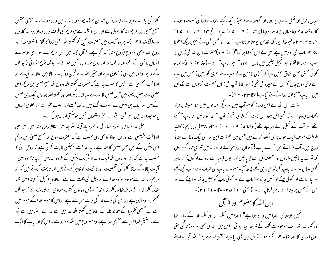خبال، قول اور فعل سے اپنی رفتار اور گفتار سے غرضیکہ ایک ایک ادا سے خدا کی محبت وا بوت کا مکاشفہ عالم وعالمیان پرظاہر کردیا (یوحنا ۱: ۱۴ - ۱۵: ۲ - الخ ۱۴: ۱۲ تا ۱۱ - ۲۷: ۴، ۲۹، ۲۹ وعنیرہ) ایسا کہ مقدس یوحنا فرماتا ہے " خدا کو کبھی کسی نے نہیں دیکھااکلوتا بیٹا حو باپ کی گود میں ہے اسی نے اس کو ظاہر کیا"( ۱۸۰۱)حضرت ابن اللہ کی زبان پر سب سے پہلا فقرہ حو انجیل جلیل میں درج ہے وہ " میرا باپ" ہے ۔ **(لوقا ۲**: ۴ م)۔ اور ہ کوئی محض حسن اتفاق نہیں ہے کہ منجئی عالمین کے سب سے آخری کلمہ میں ( جس میں آپ نے اپنی روح جان آفریں کے سپرد کی تھی) حبوالفاظ آپ کی زبان حقیقت ترحمان سے کلے ان میں" باپ" کالفظ خداکے لئےآیا ہے(لوقا ۲۲ : ۲ م)۔

حصزت ابن اللہ نے اس امتیاز کو حوآپ میں اور دیگر انسانوں میں تھا ہمیشہ برقرار رکھا- یہی وجہ ہے کہ شقی اہل یہود اس بات کے شا کی تھے کہ آپ " خدا کو خاص اپنا پاپ" کھتے تھے اور آپ کے قتل کے درپے تھے( یوحنا ۵: ۱۸- • ۱: • ۳۰تا ۳۸) بہاں ہم بخوف طوالت صر ف ایک حوالہ پر ہی اکتفا کرتے ہیں جس میں حصرت ابن اللہ کی ایک دعا کے الفاظ درج بیں۔آپ فرماتے ہیں " اے باپ! آسمان اور زمین کے خداوند - میں تیری حمد کرتا ہوں کہ نونے یہ پاتیں داناؤں اور عقلمندوں سے چھپائیں اور بجوں (سیدھے سادے لوگوں) پر ظاہر گیں-باں - اے ماپ کیونکہ ایسا ہی تجھے پسند آیا- میرے ماپ کی طرف سے سب تحچھ مجھے سو نیا گیا ہے اور کو ئی بیٹے کو نہیں جا نتاسوا ماپ کے اور کو ئی ماپ کو نہیں جا نتاسوا بیٹے کے اور اس کے حس پر بیٹااسے ظاہر کرناچاہے۔"( متی ۱۱: ۲۵-لوقا • ۱: ۲۱)۔

ا بن الله کامفهوم اور قرآن انجيل يوحنا كي ابتدا ميں وارد ہوا ہے" ابتدا ميں كلمه تھا اور كلمه خدا كے ساتھ تھا اور کلمه خدا تھا سب موحودات کلمه کےذریعہ پیداہوئی ۔ اس میں زند کی تھی اور وہ زند کی بنی نوع انسان کا نور تھا - کلمہ مجتم ہوا" قرآن میں بھی آیا ہے "یعنی اے مریم! اللہ تجھ کو اپنے

کلمہ کی بشارت دیتا ہے (سورہ آل عمران ۴)۔ پھر سورہ نساء میں وارد ہوا ہے ۔ "یعنی تحقیق مسیح عیسیٰ ابن مریم اللہ کا رسول ہے اوراس کا کلمہ ہے حبو مریم کی طرف ڈال دیااور وہ اللہ کاروح ہے(آیت ۹ س ۱ )۔ ہر دو آیات میں حصرت مسیح کو کلمتہ اللہ یعنی خدا کا کلام ( کلمتہ منہ) اور روح اللہ یعنی کا روح (روح منہ) کہا گیاہے۔ قرآن مجید میں ابن مریم کے سوا کسی دوسرے انسان یا نبی کے لئے الفاظ کلمہ منہ اور روح منہ وارد نہیں ہوئے۔ کیونکہ نوع انسا فی (حو کلمہ کے ذریعہ وحبود میں آئی ) مخلوق ہے اور عنیر اللہ ہے لیکن دو آیات بالا میں لفظ منہ آیاہے حبو اصافت بحنیسی ہے۔حس کامطلب ہہ ہے کہ حصرت کلمتہ اللہ وروح اللہ مسح عیسیٰ بن مریم اسی جنسی سے تعلق رکھتے ہیں جس جنس کا اللہ ہے۔ بالفاظ دیگر اللہ اور کلمتہ اللہ دو نوں ایک ہی جنس کے بیں اور ایک ہی جنس سے نسبت رکھتے ہیں یہ اصافت اور نسبت عنیر اللہ اور مخلوق انسان یاموحبودات میں سے کسی شے کے لئےاستعمال نہیں ہوسکتی اور نہ ہوئی ہے۔

علی بذا لقیاس سورہ نساء کی مذکورہ بالا آیتہ سثریفہ میں الفاظ روح منہ میں بھی یہی اصافت بجینسی ہے اور ان الفاظ کا بھی یہی مطلب ہے کہ حصرت روح اللہ مسح عیسیٰ ابن مریم اسی جنس کے ہیں جس جنس کا اللہ ہے۔ یہ اصافت بجینسی ثابت کرتی ہے کہ روحی ال<sub>ٹ</sub>ل کا مطلب ہہ ہے کہ اللہ اور روح اللہ ایک واحد لاسٹر یک جنس کے فرد واحد بیں اگرچہ نام دو بیں۔ آبات بالا کے الفاظ کلمہ کی شخصیت اور ذاتیت کوظاہر کرتے ہیں اور ثابت کرتے ہیں کہ حبو مریم صدیقہ سے مولود ہوا وہ خدا نے عزوجل کی ذات سے ہے۔ بالفاظ انجیل " ابتدامیں کلمہ تھاور کلمہ خدا کے ساتھ تھااور کلمہ خدا تھا" ۔ پس دو نوں کتب سماوی سے ثابت ہے کہ حو کلمہ مجسم ہواوہ ازلی ہے اور اس کی ذات خدا کی ذات میں سے ہے اوراس کا حبوسر خدا کے حبوسر میں سے ہے مسیحی کلیسا کے عقائد نامہ کے الفاظ میں کلمتہ اللہ خدامیں سے خدا ہے۔ نور میں سے نور ہے۔ حقیقی خدامیں سے حقیقی خدا ہے۔ وہ مصنوع بیں بلکہ مولود ہے ۔اس کا اور پاپ کا ایک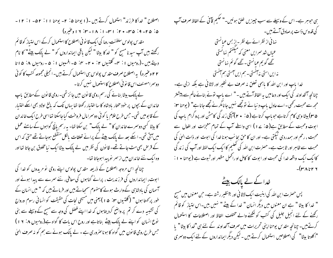اصطلاح " خداكا فرزند" استعمال كرتے بين -(١ يوحنا ۵: ٢- يوحنا ١١: ٥٢- ١: ١٢-۵: ۶۵-۹: ۳۵-۲۰: ۳۱-۱۱: ۱۸-۳: ۱۶ وغیره) مقدس پولوس سلطنت روما کی ایک قا نو نی اصطلاح کا استعمال کرکے اس امتباز کو قائم رکھتے ہیں آپ سید نا مسح کو " خد کا بیٹا " لیکن یاقی ایمانداروں کو " لے پالک بیٹے" کا نام دیتے ہیں۔(رومیوں ۱ : ۳۔ گلتیوں ۲: ۲۰- ۴: ۵- افسیوں ۱ : ۵ - رومیوں ۸: ۱۵ تا ۲۲ وعنیرہ) پہ اصطلاح صرف مقدس پولوس ہی استعمال کرتے ہیں۔انجیلی مجموعہ کتب کا کوئی دوسر امصنف اس قانو فی اصطلاح کااستعمال نهیں کرتا۔

لے پالک بیٹا بنانے کی رسم رومی قانون میں جائز تھی۔ رومی قانون کےمطابق پاپ خاندان کے بجوں پر خود مختار بادشاہ کا سا اختبار رکھتا تھا یہاں تک کہ بالغ اولاد بھی اسکے اختبار کے قابومیں تھی۔ جس طرح علام یا کو ئی دوسرامال فروخت کیاجاسکتا تھااسی طرح ایک خاندان کا بیٹا کسی دوسرے خاندان کا " لے پالک" بن سکتا تھا- بیررسم پانچ گواہوں کے سامنے عمل میں آتی تھی۔اسکے بعد لے پالک بیٹے کے پرانے تعلقات بالکل منقطع ہوجاتے تھے حتی کہ اس کے قرص بھی مٹ جاتے تھے۔ قانون کی نظر میں لے پالک بیٹاایک نیا مخلوق بن جاتا تھا اور وہ ایک نئے خاندان میں از سمر پو پیدا ہوجاتا تھا۔

چنانچہ اس مروجہ اصطلاح کے ذریعہ مقدس پولوس اپنے رومی نو مریدوں کو خدا کی ابوت، ایمانداروں کی فرزندیت ، پرانے گناہوں کی معافی، نئے سمرے سے پیدا ہونے اور آسمان کی بادشاہی کے وارث ہونے کامفہوم سمجاتے ہیں اور فرماتے ہیں کہ " میں انسان کے طور بر كهتا ہوں " (گلتيوں ٣: ۵ ) يعني ميں مسيحي نجات كي حقيقت كو انساني رسوم ورواج کی تشبیہ دے کر تم پر واضح کردیتاہوں کہ خدا اپنے فصل کی وجہ سے مسح کے وسیلے سے بنی نوع انسان کو اپنے لے پالک بیٹے بناتاہے اور روح اس بات کا گواہ ہے(رومیوں ۱۰: ۱۹) جس طرح رومی قا نون میں گواہ کا ہونا صروری ہے - لے پالک ہونے سے ہم کو نہ صرف الهٰل

ہی حوہر ہے۔ اس کے وسیلے سے سب چیزیں خلق ہوئیں۔" حکیم قائی کے الفاظ صرف آپ کی قدوس ذات پرصادق آتے ہیں۔ نها في از نظرائے بے نظر - <sub>ب</sub>از بس عیانستی عياں شد سرايں معنی که ميڭفتم نهانستی گھے گو یم عبانستی۔ گھے گوئم نہانستی نہ ایں استی نہ آنستی ۔ ہم ایں آمستی ہم آنستی خدا پاپ اور ابن اللہ کا پاہمی تعلق نہ صرف بے نظیر اور لاثا فی ہے بلکہ ازلی ہے۔ چنانچہ آنخداوند کی ایک اور دعامیں یہ الفاظ آتے ہیں - " اے پاپ نونے بنائےعالم سے پیشتر مجھ سے محبت رکھی۔اے عادل باپ د نیا نے نوتجھے نہیں جانامگر نے تجھے جانا ہے" ( یوحنا سن: ۵ سا) بیٹا وہی کام کرتاہے حبوباپ کرتا ہے (۵ : • ۲ )آبکی زند گی کامش اور پروگرام پاپ کی ابوت ومحبت کے مطابق ہے( ۵ : ۷ ے ۱ ) اسی واسطے آپ کے تمام معجزات اور افعال سے محبت ، رحم اور ہمدردی ٹیکتی ہے۔ اور ان کا حق بحانب ہونا خدا کی ابوت اور ذات الهٰی کی محبت سے ظاہر اور ثابت ہے۔ حصرت ابن اللہ کی تعلیم کا ایک ایک لفظ اور آپ کی زند کی کاایک ایک واقعہ خدا کی محبت اور ابوت کا کامل او رائمل مظہر اور ثبوت ہے ( یوحنا ٭ ۱ :  $-(r\wedge r\vee r)$ 

خدا کے لے پالک پیٹے پس حصرت ابن الله کی ابنیت ایک لاثا فی اور بینظیر رشتہ ہے۔ حن معنوں میں مسح " خدا کا بیٹا " ہے ان معنوں میں دیگر انسان " خدا کے بیٹے " نہیں بیں۔اس امتیاز کو قائم رکھنے کے لئے انجیل جلیل کی کتب کو لکھنے والے مختلف الفاظ اور اصطلاحات کا استعمال کرتے ہیں۔ چنانچہ مقدس یوحنا اپنی تحریرات میں صرف آنحداوند کے لئے ہی "خدا کا بیٹا " یا "اکلوتا بیٹا" کی اصطلاحیں استعمال کرتے ہیں ۔ لیکن دیگر ایما نداروں کے لئے ایک دوسمری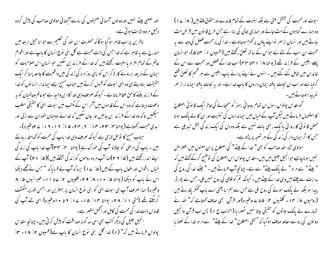ابوت اور محبت کی بخشش ملتی ہے بلکہ ابنیت کے تمام فائدے اور حقوق ملتے بیں ( ۸ : ۱ ) ) وہ ہمارے گناہوں کے مٹ جانے اور ہماری بحالی کی بناء ہے جس طرح قانون میں قر حن مٹ جاتے ہیں اور انسان از سر نواپنے یاؤں پر کھڑا ہوجاتاہے - خدا کی پر محبت فصل کی وجہ سے یہ محبت ان سب کے لئے ہے حواس کے ساتھ تعلق رکھتے ہیں (افسیوں ۱ : مہمّا ۵)۔ حوالسان پہلے ابلیس کے فرزند تھے (یوحنا ۱٪ ۱ ۴ تا ۴۴) اب خدا کے فضل اور محبت سے اس کے خاندان میں شامل کئے گئے،میں ۔ انہوں نے اپنے پرانے ماپ ابلیس سے ہر قسم کا تعلق قطع گرلیا ہے اور اب ان نجات بافتہ ایمان داروں کا باپ خدا ہے۔ اور بہ نجات بافتہ ایما ندار از سمر نوپېدا ہوجاتے *ہیں۔* 

گومقدس پولوس رسول ان تمام روحا فی رموز کو سمجیانے کی خاطر ایک قا نو فی اصطلاح کا استعمال فرماتے بیں لیکن آپ کے خیال میں ایما نداروں کی تبنیت اور ان کا لے پالک ہونا محض قا نو نی کارروا ئی پاایک رسمی بات نہیں ہے بلکہ وہ دل کی ایک زند گی بخش تبدیلی ہے جس کااثر ایمان دار کی زند کی کے ہر شعبہ پر پڑتاہے۔

مولوی ثناء اللہ صاحب کو بھی " خدا کے بیٹے " کی اصطلاح پر ان معنوں میں اعتراض نہیں ہوناچاہیے حوانجیل جلیل میں بیں۔مقدس پولوس اس اصطلاح کی توضیح کرکے کھتے ہیں کہ " بیٹے" سے مراد " لے پاک بیٹے" سے ہے۔ چنانچہ آپ فرماتے ہیں ۔" جتنے خدا کی روح کی بدایت سے چلتے بیں وہی خدا کے بیٹے بیں ۔ کیونکہ تم کوعلامی کی روح نہیں ملی۔ جس سے پھر ڈر پیدا ہو بلکہ لے پالک ہونے کی روح ملی ہے جس سے ہم اما یعنی اے ماپ کھکر یکارتے ہیں (رومیوں ۸: ۴ ) - گلتیوں ۴: ۵ تا ۷ے وغیرہ)اور قرآن نجی صاف کھتاہے کہ" اللہ نے تہارے لے پالک بیٹوں کو حقیقی بیٹا نہیں ٹھہرایا (احزاب ع ۱) پس اب قرآن وانجیل دونوں کی روسے معاملہ صاف ہو گیا کہ مسیحی اصطلاح " غدا کے پیٹے" سے مراد خدا کے نعوذ ما

اللہ صلبی بیٹے نہیں اور دو نوں آسمانی صحیفوں کی روسے آنجہانی مولوی صاحب کی پیش کردہ دلیل مردود ثابت ہو تی ہے۔

ناظرین پر اب ظاہر ہو گیا ہو گا کہ حصرت ابن اللہ کی تعلیم سے حوانا جیل اربعہ میں مندرج ہے یہ ظاہر ہے کہ خدا حس کی ذات محبت ہے کل بنی نوع انسان کا ماپ ہے اور اقوام عالم کے تمام افراد یا اہلیت رکھتے ہیں کہ خدا کے فرزند بن سکیں حوانسان اس صلاحیت کو ایمان کے ذریعہ برروپے کار لاکر اس کو اپنی روز مرہ کی زند گی میں واقعیت کا جامعہ پہنا کر ایک حقیقت بنادیتے ہی وہ الہٰی ابوت کو قبول کرتے ہیں جناب مسح ایسے ایما ندار انسانوں کو خدا کے فرزند بغنے کا حق عطا فرماتا ہے ۔ کیونکہ صرف وہی خدا کا ابن وحبد ہے حوعالم وعالمیان کو بہ دعوت دیتاہے کہ وہ اس کے قدموں میں آکر اس کے مکتب میں ابوت الہیٰ کا حقیقی مطلب سیکھیں تا کہ وہ خداکے فرزند بن جائیں اور جان سکیں کہ خدائے دوجہان خود ان سے ازلی اور ابدی محبت رکھتاہے(پوحناسی: ۲۳۔۱۴، ۲، ۳۳۔۱۵: ۱۶۔۱۲۔ ا: ۲۷وغیرہ)۔ جناب مسح کا نوسل لازمی ہے کیونکہ صرف وہی خدا پاپ کی محبت کو کماحقہ ، جانتے بیں ۔ ماپ کی مرحنی کو بحالانا آپ کی خوراک ہے ( یوحنا ہم: ہم ۳)آپ خدا ماپ کی زند گی اپنے اندر رکھتے بیں (۵ : ۲ ۲ )اہذاآپ مردہ روحوں کو زند گی بخشتے بیں )(۵ : ۱ ۲ ) آپ کے خیال ،اقوال اور افعال باپ کے ہیں (۵: ۲۷) ایسا کہ آپ نے فرمایا کہ " حس نے مجھے دیکھا اس نے پاپ کو دیکھا (یوحنا ۵: ۱۰- ۸: ۹- فلپیوں ۲: سےتا ۱۱- عبرانیوں ۵: ۸ وعنیرہ) لہذا صرف آپ ہی ابوت الہٰیٰ کو بنی پوع انسان پر بہترین اور احسن طور پر منکشف کر بکتے تھے (متی ۱۱. ۲۸۔ یوحنا ۱۴. ۱۵۔ ۱۷. ۲ تا ۱۰وغیرہ) اسی لئے آپ کی قدوس ذات خدا کی محبت کی کامل اور اٹھمل مظہر ہے۔ ائجیل جلیل کی دیگر کتب بھی اسی سہ گونہ صداقت کو پیش کرتی بیں۔چنانچہ مقد س پولوس فرماتے ہیں کہ" (۱) خدا کل بنی نوع انسان کا باپ ہے(افسیوں ۲: ۱۸- ۳: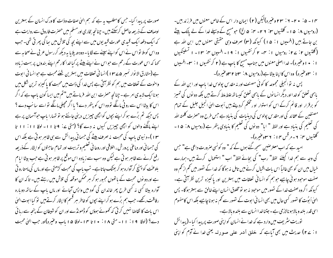۱۴ - ۵: • ۲- ۲: ۲۳ وعنیرہ)لیکن (۲) ایمان دار اس کے خاص معنوں میں فرزند بیں۔ (رومیوں ۸: ۵ ۱ - گلتیوں ۲۰: ۲ ۲ - ۴: ۵ الخ) حبومسح کے وسیلے خدا کے لے پالک بیٹے بن جاتے ہیں (افسیوں ۱ : ۱۵ ) کیونکہ (۳) صرف وہی حقیقی معنوں میں ابن اللہ ہے (گلتیوں ۲: ۲۷: رومیوں ۱: ۴- ۲ کرنتھیوں ۱: ۱۹- افسیوں ۴: ۱۳- ۱ تسلینکیوں ا : • اوعنیرہ)۔ خدا اصلی معنوں میں جناب مسح کا باپ ہے ( ۲ کر نتھیوں ۱ : س - افسیوں ا : س<sub>ا</sub>وغیرہ) وہ اس کا اپنا بیٹا ہے (روسیوں ۸: س<sub>اتا</sub> ۲ سوعیرہ)۔

پس نہ نو انجیلی مجموعہ کا کوئی مصنف اور نہ مقدس پولوس خدا باپ اور ابن اللہ کے باہمی تعلق کوخدااور دیگرانسانوں کے باہمی تعلق کیساتھ علطہلط کرتے ہیں بلکہ دو نوں کی تمییز کو برقرار اور قائم کرکے اس کو استوار او رمحکم کردیتے ہیں اَبوت الہیٰ انجیل جلیل کے تمام مصنفین کے عقائد کی اور مقد س پولوس کی دینیات کی بنیاد ہے جس طرح وہ حصرت کلمتہ اللہ کی تعلیم کی بنیاد ہے اور لفظ " ایا" دو نوں کی تعلیم کا بنیادی بتھر ہے (رومیوں ۸: ۵ ا -گلتیوں ۲۰: ۶- مرقس ۱۴: ۲۳ وغیرہ)۔

امبد ہے کہ اب معترضین سمجھ گئے ہوں گے کہ " وہ کو نسی صرورت داعی ہے" جس کی وجہ سے ہم خدا کیلئے گفظ" رب" کی بجائے لفظ" اب " استعمال کرتے ہیں۔ہمارے خیال میں ان کو بھی غالیاً اس بات اقبال کرنے میں تامل نہ ہوگا کہ خدا کے تصور میں تھم از تھم وہ صفت موجود ہو ٹی چاہیے حوہم کو انسانی تعلقات میں بہترین اور پاکیزہ ترین نظر آتی ہے۔ کیونکہ اگروہ صفت خدا کے نصور میں موحود نہ ہو تو مخلوق انسان اپنے خالق سے بہتر ہوگا۔ پس الهیٰ اَبوُت کا نصور کسی حال میں بھی ا نسا فی ا بوت کے نصور سے کم یہ ہو ناچاہیے بلکہ اس کامفہوم اسی قدر بلند وبالاہونالازمی ہے۔جتناخداانسان سے بلندوبالاہے۔

توریت سثریف میں وارد ہے کہ خدا نے انسان کو اپنی صورت پر پیدا کیا۔(پیدائش ا : ٢۷) حدیث میں بھی آباہے کہ خلق آدمر علی صورتہ یعنی خدا نے آدم کو اپنی

صورت پر پیدا کیا۔ جس کا مطلب یہ ہے کہ ہم الهیٰ صفات وذات کا ورک انسان کے بہترین اوصاف کے ذریعہ حاصل کرسکتے،بیں۔چنانچہ بخاری اورمسلم میں حصرت فاروق سے روایت ہے کہ ایک دفعہ ایک قبیدی عورت قبید یوں میں سے اپنے بچہ کی تلاش میں ہعا کی پھر تی تھی۔ جب وہ اس کوملا نواس نے اس کواپنے سپنے سے لگا ما - دودھہ پلایا ہہ دیکھ کررسول عربی نے صحابہ سے کھا کہ اس عورت کے رحم سے حواس نے اپنے بیٹے پر کیا خدا کارحم اپنے بندوں پر بہت زیادہ ہے (مشارق الانوار نمبر ۷۵ – ۱۳ )انسا فی تعلقات میں بہترین شئے محبت ہے حوانسا فی ابوت واخوت کے تعلقات میں ہم کو نظر آتی ہے پس خدا کی ذات میں محبت کا پاکیزہ ترین شکل میں ہونا ایک لاہدی امر ہے - چنانچہ حصرت ابن اللہ فرماتے ہیں" تم میں ایسا کون باپ ہے کہ اگر اس کا بیٹااس سے رو ٹی مانگے نووہ اس کو پتھر دے؟ یااگر مچلی مانگے نواسے سانپ دے؟ پس جبکہ تم بڑے ہو کراپنے بچوں کواچھی چیزیں دینی جانتے ہو تو تہارا پاپ حواسمان پر ہے اپنے مانگنے والوں کو اچھی چیزیں کیوں نہ دے گا؟ (متی ۷: ۹ تا ۱۱- لوقا ۱۱: ۱۱ تا ۱۳ )۔دنیوی باپ کی محبت نہ صرف بیٹے کی حسانی پیدائش سے ہی ظاہر ہوتی ہے بلکہ اس کی حسما فی اور دماعی پرورش ، اخلاقی اور روحا فی تعلیم و تربیت اور تمام حاجتوں کو ایثار کےذریعہ رفع کرنے سے ظاہر ہو تی ہے لیکن وہ سب سے زیادہ اس موقع پر ظاہر ہو تی ہے جب بیٹا ایام بلوعنت کو پہنچ کر آوارہ ہو کر بھٹک جاتاہے۔ تب پاپ کی محبت کڑھتی ہے اور ماں کی مامتارو تی ہے اور دو نوں محبت کے باتھوں مجبور ہو کر ہر ممکن موقعہ کی تلاش میں رہتے ہیں۔ تا کہ ان کا آوارہ بیٹا کسی نہ کسی طرح پھر خاندان کی گود میں واپس آجائے اور ماں باپ کے ساتھ دوبارہ رفاقت رکھے۔ جب ہم بڑے ہو کراپنے بچوں کو خاطر ہر قسم کا ایثار کرتے ہیں تو کیا ا بوت الہیٰ اس بات کا تقاضا نہیں کرتی کہ تھوٹے ہوؤں کو ڈھونڈے اور ان کو شیطان کے پنجہ سے رہا ئی دے؟ (لوقا ۱۹: ۱۱- متی ۱۸: • ا تا ۱۴-لوقا ۱۵ باب وعنیرہ)اور جب الہٰی محبت